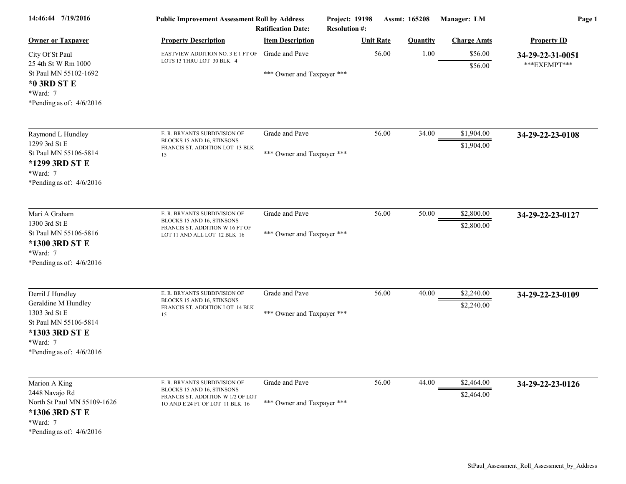| 14:46:44 7/19/2016                                                                                                                            | <b>Public Improvement Assessment Roll by Address</b><br><b>Ratification Date:</b>                                                  |                                              | Assmt: 165208<br><b>Project: 19198</b><br><b>Resolution #:</b> |                  | Manager: LM     | Page 1                   |                                  |
|-----------------------------------------------------------------------------------------------------------------------------------------------|------------------------------------------------------------------------------------------------------------------------------------|----------------------------------------------|----------------------------------------------------------------|------------------|-----------------|--------------------------|----------------------------------|
| <b>Owner or Taxpayer</b>                                                                                                                      | <b>Property Description</b>                                                                                                        | <b>Item Description</b>                      |                                                                | <b>Unit Rate</b> | <b>Quantity</b> | <b>Charge Amts</b>       | <b>Property ID</b>               |
| City Of St Paul<br>25 4th St W Rm 1000<br>St Paul MN 55102-1692<br>*0 3RD ST E<br>*Ward: 7<br>*Pending as of: $4/6/2016$                      | EASTVIEW ADDITION NO. 3 E 1 FT OF<br>LOTS 13 THRU LOT 30 BLK 4                                                                     | Grade and Pave<br>*** Owner and Taxpayer *** |                                                                | 56.00            | 1.00            | \$56.00<br>\$56.00       | 34-29-22-31-0051<br>***EXEMPT*** |
| Raymond L Hundley<br>1299 3rd St E<br>St Paul MN 55106-5814<br>*1299 3RD ST E<br>*Ward: 7<br>*Pending as of: $4/6/2016$                       | E. R. BRYANTS SUBDIVISION OF<br>BLOCKS 15 AND 16, STINSONS<br>FRANCIS ST. ADDITION LOT 13 BLK<br>15                                | Grade and Pave<br>*** Owner and Taxpayer *** |                                                                | 56.00            | 34.00           | \$1,904.00<br>\$1,904.00 | 34-29-22-23-0108                 |
| Mari A Graham<br>1300 3rd St E<br>St Paul MN 55106-5816<br>*1300 3RD ST E<br>*Ward: 7<br>*Pending as of: $4/6/2016$                           | E. R. BRYANTS SUBDIVISION OF<br>BLOCKS 15 AND 16, STINSONS<br>FRANCIS ST. ADDITION W 16 FT OF<br>LOT 11 AND ALL LOT 12 BLK 16      | Grade and Pave<br>*** Owner and Taxpayer *** |                                                                | 56.00            | 50.00           | \$2,800.00<br>\$2,800.00 | 34-29-22-23-0127                 |
| Derril J Hundley<br>Geraldine M Hundley<br>1303 3rd St E<br>St Paul MN 55106-5814<br>*1303 3RD ST E<br>*Ward: 7<br>*Pending as of: $4/6/2016$ | E. R. BRYANTS SUBDIVISION OF<br>BLOCKS 15 AND 16, STINSONS<br>FRANCIS ST. ADDITION LOT 14 BLK<br>15                                | Grade and Pave<br>*** Owner and Taxpayer *** |                                                                | 56.00            | 40.00           | \$2,240.00<br>\$2,240.00 | 34-29-22-23-0109                 |
| Marion A King<br>2448 Navajo Rd<br>North St Paul MN 55109-1626<br>*1306 3RD ST E<br>*Ward: 7<br>*Pending as of: $4/6/2016$                    | E. R. BRYANTS SUBDIVISION OF<br>BLOCKS 15 AND 16, STINSONS<br>FRANCIS ST. ADDITION W 1/2 OF LOT<br>10 AND E 24 FT OF LOT 11 BLK 16 | Grade and Pave<br>*** Owner and Taxpayer *** |                                                                | 56.00            | 44.00           | \$2,464.00<br>\$2,464.00 | 34-29-22-23-0126                 |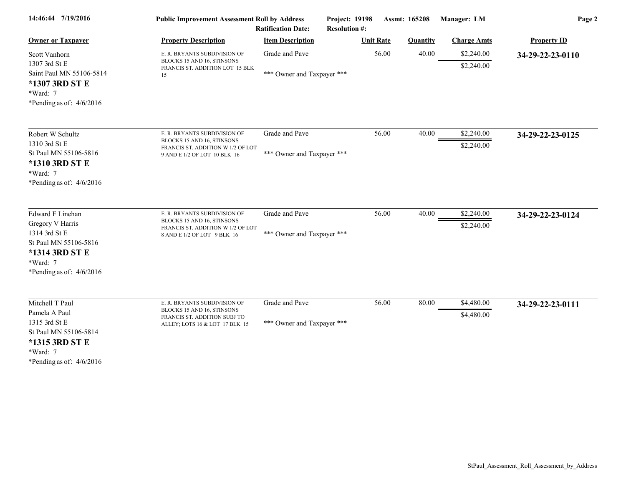| 14:46:44 7/19/2016                                                                                                                         | <b>Public Improvement Assessment Roll by Address</b><br><b>Ratification Date:</b>                                               |                                              | Project: 19198<br><b>Resolution #:</b> | Assmt: 165208   | Manager: LM              | Page 2             |  |
|--------------------------------------------------------------------------------------------------------------------------------------------|---------------------------------------------------------------------------------------------------------------------------------|----------------------------------------------|----------------------------------------|-----------------|--------------------------|--------------------|--|
| <b>Owner or Taxpayer</b>                                                                                                                   | <b>Property Description</b>                                                                                                     | <b>Item Description</b>                      | <b>Unit Rate</b>                       | <b>Quantity</b> | <b>Charge Amts</b>       | <b>Property ID</b> |  |
| Scott Vanhorn<br>1307 3rd St E<br>Saint Paul MN 55106-5814<br>*1307 3RD ST E<br>*Ward: 7<br>*Pending as of: $4/6/2016$                     | E. R. BRYANTS SUBDIVISION OF<br>BLOCKS 15 AND 16, STINSONS<br>FRANCIS ST. ADDITION LOT 15 BLK<br>15                             | Grade and Pave<br>*** Owner and Taxpayer *** |                                        | 56.00<br>40.00  | \$2,240.00<br>\$2,240.00 | 34-29-22-23-0110   |  |
| Robert W Schultz<br>1310 3rd St E<br>St Paul MN 55106-5816<br>*1310 3RD ST E<br>*Ward: 7<br>*Pending as of: $4/6/2016$                     | E. R. BRYANTS SUBDIVISION OF<br>BLOCKS 15 AND 16, STINSONS<br>FRANCIS ST. ADDITION W 1/2 OF LOT<br>9 AND E 1/2 OF LOT 10 BLK 16 | Grade and Pave<br>*** Owner and Taxpayer *** |                                        | 56.00<br>40.00  | \$2,240.00<br>\$2,240.00 | 34-29-22-23-0125   |  |
| Edward F Linehan<br>Gregory V Harris<br>1314 3rd St E<br>St Paul MN 55106-5816<br>*1314 3RD ST E<br>*Ward: 7<br>*Pending as of: $4/6/2016$ | E. R. BRYANTS SUBDIVISION OF<br>BLOCKS 15 AND 16, STINSONS<br>FRANCIS ST. ADDITION W 1/2 OF LOT<br>8 AND E 1/2 OF LOT 9 BLK 16  | Grade and Pave<br>*** Owner and Taxpayer *** |                                        | 56.00<br>40.00  | \$2,240.00<br>\$2,240.00 | 34-29-22-23-0124   |  |
| Mitchell T Paul<br>Pamela A Paul<br>1315 3rd St E<br>St Paul MN 55106-5814<br>*1315 3RD ST E<br>$*Ward: 7$<br>*Pending as of: $4/6/2016$   | E. R. BRYANTS SUBDIVISION OF<br>BLOCKS 15 AND 16, STINSONS<br>FRANCIS ST. ADDITION SUBJ TO<br>ALLEY; LOTS 16 & LOT 17 BLK 15    | Grade and Pave<br>*** Owner and Taxpayer *** |                                        | 56.00<br>80.00  | \$4,480.00<br>\$4,480.00 | 34-29-22-23-0111   |  |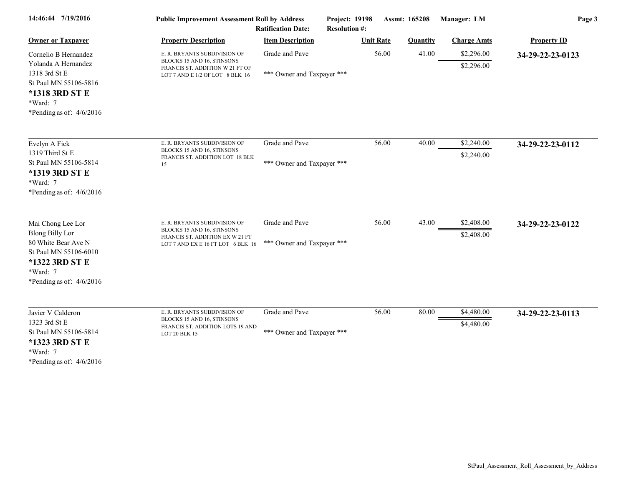| 14:46:44 7/19/2016                                                                                                                                      | <b>Public Improvement Assessment Roll by Address</b><br><b>Ratification Date:</b>                                                  |                                              | Project: 19198<br><b>Resolution #:</b> | Assmt: 165208   | Manager: LM              | Page 3             |  |
|---------------------------------------------------------------------------------------------------------------------------------------------------------|------------------------------------------------------------------------------------------------------------------------------------|----------------------------------------------|----------------------------------------|-----------------|--------------------------|--------------------|--|
| <b>Owner or Taxpayer</b>                                                                                                                                | <b>Property Description</b>                                                                                                        | <b>Item Description</b>                      | <b>Unit Rate</b>                       | <b>Quantity</b> | <b>Charge Amts</b>       | <b>Property ID</b> |  |
| Cornelio B Hernandez<br>Yolanda A Hernandez<br>1318 3rd St E<br>St Paul MN 55106-5816<br>*1318 3RD ST E<br>*Ward: 7<br>*Pending as of: $4/6/2016$       | E. R. BRYANTS SUBDIVISION OF<br>BLOCKS 15 AND 16, STINSONS<br>FRANCIS ST. ADDITION W 21 FT OF<br>LOT 7 AND E 1/2 OF LOT 8 BLK 16   | Grade and Pave<br>*** Owner and Taxpayer *** |                                        | 56.00<br>41.00  | \$2,296.00<br>\$2,296.00 | 34-29-22-23-0123   |  |
| Evelyn A Fick<br>1319 Third St E<br>St Paul MN 55106-5814<br>*1319 3RD ST E<br>*Ward: 7<br>*Pending as of: $4/6/2016$                                   | E. R. BRYANTS SUBDIVISION OF<br>BLOCKS 15 AND 16, STINSONS<br>FRANCIS ST. ADDITION LOT 18 BLK<br>15                                | Grade and Pave<br>*** Owner and Taxpayer *** |                                        | 56.00<br>40.00  | \$2,240.00<br>\$2,240.00 | 34-29-22-23-0112   |  |
| Mai Chong Lee Lor<br><b>Blong Billy Lor</b><br>80 White Bear Ave N<br>St Paul MN 55106-6010<br>*1322 3RD ST E<br>*Ward: 7<br>*Pending as of: $4/6/2016$ | E. R. BRYANTS SUBDIVISION OF<br>BLOCKS 15 AND 16, STINSONS<br>FRANCIS ST. ADDITION EX W 21 FT<br>LOT 7 AND EX E 16 FT LOT 6 BLK 16 | Grade and Pave<br>*** Owner and Taxpayer *** |                                        | 56.00<br>43.00  | \$2,408.00<br>\$2,408.00 | 34-29-22-23-0122   |  |
| Javier V Calderon<br>1323 3rd St E<br>St Paul MN 55106-5814<br>*1323 3RD ST E<br>*Ward: 7<br>*Pending as of: $4/6/2016$                                 | E. R. BRYANTS SUBDIVISION OF<br>BLOCKS 15 AND 16, STINSONS<br>FRANCIS ST. ADDITION LOTS 19 AND<br>LOT 20 BLK 15                    | Grade and Pave<br>*** Owner and Taxpayer *** |                                        | 56.00<br>80.00  | \$4,480.00<br>\$4,480.00 | 34-29-22-23-0113   |  |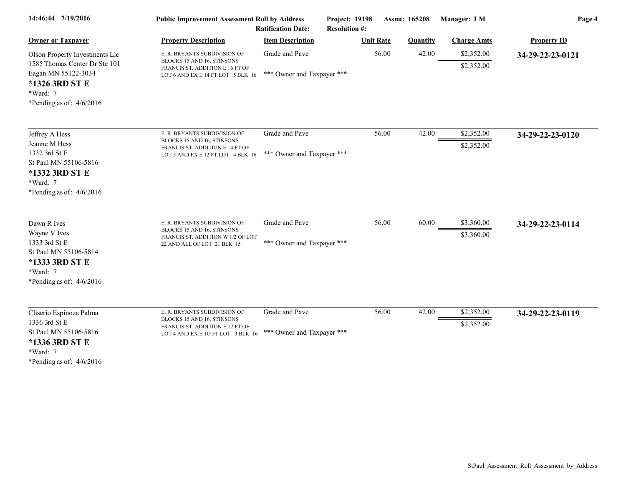| 14:46:44 7/19/2016                                                                                                                                 | <b>Public Improvement Assessment Roll by Address</b>                                                                               | <b>Ratification Date:</b>                    | Project: 19198<br><b>Resolution #:</b> | Assmt: 165208   | Manager: LM              | Page 4             |  |
|----------------------------------------------------------------------------------------------------------------------------------------------------|------------------------------------------------------------------------------------------------------------------------------------|----------------------------------------------|----------------------------------------|-----------------|--------------------------|--------------------|--|
| <b>Owner or Taxpayer</b>                                                                                                                           | <b>Property Description</b>                                                                                                        | <b>Item Description</b>                      | <b>Unit Rate</b>                       | <b>Quantity</b> | <b>Charge Amts</b>       | <b>Property ID</b> |  |
| Olson Property Investments Llc<br>1585 Thomas Center Dr Ste 101<br>Eagan MN 55122-3034<br>*1326 3RD ST E<br>*Ward: 7<br>*Pending as of: $4/6/2016$ | E. R. BRYANTS SUBDIVISION OF<br>BLOCKS 15 AND 16, STINSONS<br>FRANCIS ST. ADDITION E 16 FT OF<br>LOT 6 AND EX E 14 FT LOT 5 BLK 16 | Grade and Pave<br>*** Owner and Taxpayer *** | 56.00                                  | 42.00           | \$2,352.00<br>\$2,352.00 | 34-29-22-23-0121   |  |
| Jeffrey A Hess<br>Jeanne M Hess<br>1332 3rd St E<br>St Paul MN 55106-5816<br>*1332 3RD ST E<br>*Ward: 7<br>*Pending as of: $4/6/2016$              | E. R. BRYANTS SUBDIVISION OF<br>BLOCKS 15 AND 16, STINSONS<br>FRANCIS ST. ADDITION E 14 FT OF<br>LOT 5 AND EX E 12 FT LOT 4 BLK 16 | Grade and Pave<br>*** Owner and Taxpayer *** | 56.00                                  | 42.00           | \$2,352.00<br>\$2,352.00 | 34-29-22-23-0120   |  |
| Dawn R Ives<br>Wayne V Ives<br>1333 3rd St E<br>St Paul MN 55106-5814<br>*1333 3RD ST E<br>*Ward: 7<br>*Pending as of: $4/6/2016$                  | E. R. BRYANTS SUBDIVISION OF<br>BLOCKS 15 AND 16, STINSONS<br>FRANCIS ST. ADDITION W 1/2 OF LOT<br>22 AND ALL OF LOT 21 BLK 15     | Grade and Pave<br>*** Owner and Taxpayer *** | 56.00                                  | 60.00           | \$3,360.00<br>\$3,360.00 | 34-29-22-23-0114   |  |
| Cliserio Espinoza Palma<br>1336 3rd St E<br>St Paul MN 55106-5816<br>*1336 3RD ST E<br>*Ward: 7<br>*Pending as of: $4/6/2016$                      | E. R. BRYANTS SUBDIVISION OF<br>BLOCKS 15 AND 16, STINSONS<br>FRANCIS ST. ADDITION E 12 FT OF<br>LOT 4 AND EX E 10 FT LOT 3 BLK 16 | Grade and Pave<br>*** Owner and Taxpayer *** | 56.00                                  | 42.00           | \$2,352.00<br>\$2,352.00 | 34-29-22-23-0119   |  |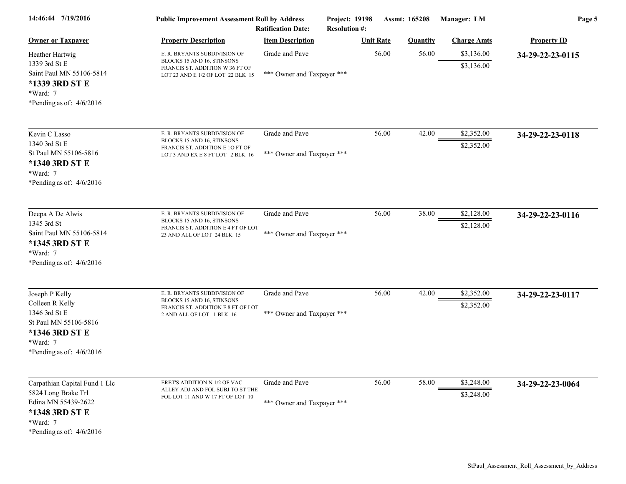| 14:46:44 7/19/2016                                                                                                                      | <b>Public Improvement Assessment Roll by Address</b><br><b>Ratification Date:</b>                                                  |                                              | <b>Project: 19198</b><br><b>Resolution #:</b> |                  | Assmt: 165208   | Manager: LM              | Page 5             |  |
|-----------------------------------------------------------------------------------------------------------------------------------------|------------------------------------------------------------------------------------------------------------------------------------|----------------------------------------------|-----------------------------------------------|------------------|-----------------|--------------------------|--------------------|--|
| <b>Owner or Taxpayer</b>                                                                                                                | <b>Property Description</b>                                                                                                        | <b>Item Description</b>                      |                                               | <b>Unit Rate</b> | <b>Quantity</b> | <b>Charge Amts</b>       | <b>Property ID</b> |  |
| Heather Hartwig<br>1339 3rd St E<br>Saint Paul MN 55106-5814<br>*1339 3RD ST E<br>*Ward: 7<br>*Pending as of: $4/6/2016$                | E. R. BRYANTS SUBDIVISION OF<br>BLOCKS 15 AND 16, STINSONS<br>FRANCIS ST. ADDITION W 36 FT OF<br>LOT 23 AND E 1/2 OF LOT 22 BLK 15 | Grade and Pave<br>*** Owner and Taxpayer *** |                                               | 56.00            | 56.00           | \$3,136.00<br>\$3,136.00 | 34-29-22-23-0115   |  |
| Kevin C Lasso<br>1340 3rd St E<br>St Paul MN 55106-5816<br>*1340 3RD ST E<br>*Ward: 7<br>*Pending as of: $4/6/2016$                     | E. R. BRYANTS SUBDIVISION OF<br>BLOCKS 15 AND 16, STINSONS<br>FRANCIS ST. ADDITION E 10 FT OF<br>LOT 3 AND EX E 8 FT LOT 2 BLK 16  | Grade and Pave<br>*** Owner and Taxpayer *** |                                               | 56.00            | 42.00           | \$2,352.00<br>\$2,352.00 | 34-29-22-23-0118   |  |
| Deepa A De Alwis<br>1345 3rd St<br>Saint Paul MN 55106-5814<br>*1345 3RD ST E<br>*Ward: 7<br>*Pending as of: $4/6/2016$                 | E. R. BRYANTS SUBDIVISION OF<br>BLOCKS 15 AND 16, STINSONS<br>FRANCIS ST. ADDITION E 4 FT OF LOT<br>23 AND ALL OF LOT 24 BLK 15    | Grade and Pave<br>*** Owner and Taxpayer *** |                                               | 56.00            | 38.00           | \$2,128.00<br>\$2,128.00 | 34-29-22-23-0116   |  |
| Joseph P Kelly<br>Colleen R Kelly<br>1346 3rd St E<br>St Paul MN 55106-5816<br>*1346 3RD ST E<br>*Ward: 7<br>*Pending as of: $4/6/2016$ | E. R. BRYANTS SUBDIVISION OF<br>BLOCKS 15 AND 16, STINSONS<br>FRANCIS ST. ADDITION E 8 FT OF LOT<br>2 AND ALL OF LOT 1 BLK 16      | Grade and Pave<br>*** Owner and Taxpayer *** |                                               | 56.00            | 42.00           | \$2,352.00<br>\$2,352.00 | 34-29-22-23-0117   |  |
| Carpathian Capital Fund 1 Llc<br>5824 Long Brake Trl<br>Edina MN 55439-2622<br>*1348 3RD ST E<br>*Ward: 7<br>*Pending as of: $4/6/2016$ | ERET'S ADDITION N 1/2 OF VAC<br>ALLEY ADJ AND FOL SUBJ TO ST THE<br>FOL LOT 11 AND W 17 FT OF LOT 10                               | Grade and Pave<br>*** Owner and Taxpayer *** |                                               | 56.00            | 58.00           | \$3,248.00<br>\$3,248.00 | 34-29-22-23-0064   |  |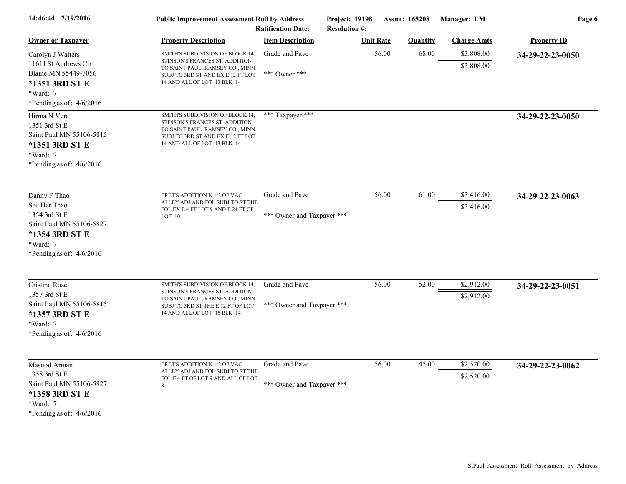| 14:46:44 7/19/2016                                                                                                                    | <b>Public Improvement Assessment Roll by Address</b><br><b>Ratification Date:</b>                                                                                          |                                              | Project: 19198<br>Assmt: 165208<br><b>Resolution #:</b> |                  |                 | Manager: LM              | Page 6             |  |
|---------------------------------------------------------------------------------------------------------------------------------------|----------------------------------------------------------------------------------------------------------------------------------------------------------------------------|----------------------------------------------|---------------------------------------------------------|------------------|-----------------|--------------------------|--------------------|--|
| <b>Owner or Taxpayer</b>                                                                                                              | <b>Property Description</b>                                                                                                                                                | <b>Item Description</b>                      |                                                         | <b>Unit Rate</b> | <b>Quantity</b> | <b>Charge Amts</b>       | <b>Property ID</b> |  |
| Carolyn J Walters<br>11611 St Andrews Cir<br>Blaine MN 55449-7056<br>*1351 3RD ST E<br>*Ward: 7<br>*Pending as of: $4/6/2016$         | SMITH'S SUBDIVISION OF BLOCK 14,<br>STINSON'S FRANCES ST. ADDITION<br>TO SAINT PAUL, RAMSEY CO., MINN.<br>SUBJ TO 3RD ST AND EX E 12 FT LOT<br>14 AND ALL OF LOT 13 BLK 14 | Grade and Pave<br>*** Owner ***              |                                                         | 56.00            | 68.00           | \$3,808.00<br>\$3,808.00 | 34-29-22-23-0050   |  |
| Hirma N Vera<br>1351 3rd St E<br>Saint Paul MN 55106-5815<br>*1351 3RD ST E<br>*Ward: 7<br>*Pending as of: $4/6/2016$                 | SMITH'S SUBDIVISION OF BLOCK 14,<br>STINSON'S FRANCES ST. ADDITION<br>TO SAINT PAUL, RAMSEY CO., MINN.<br>SUBJ TO 3RD ST AND EX E 12 FT LOT<br>14 AND ALL OF LOT 13 BLK 14 | *** Taxpayer ***                             |                                                         |                  |                 |                          | 34-29-22-23-0050   |  |
| Danny F Thao<br>See Her Thao<br>1354 3rd St E<br>Saint Paul MN 55106-5827<br>*1354 3RD ST E<br>*Ward: 7<br>*Pending as of: $4/6/2016$ | ERET'S ADDITION N 1/2 OF VAC<br>ALLEY ADJ AND FOL SUBJ TO ST THE<br>FOL EX E 4 FT LOT 9 AND E 24 FT OF<br>LOT 10                                                           | Grade and Pave<br>*** Owner and Taxpayer *** |                                                         | 56.00            | 61.00           | \$3,416.00<br>\$3,416.00 | 34-29-22-23-0063   |  |
| Cristina Rose<br>1357 3rd St E<br>Saint Paul MN 55106-5815<br>*1357 3RD ST E<br>*Ward: 7<br>*Pending as of: $4/6/2016$                | SMITH'S SUBDIVISION OF BLOCK 14,<br>STINSON'S FRANCES ST. ADDITION<br>TO SAINT PAUL, RAMSEY CO., MINN.<br>SUBJ TO 3RD ST THE E 12 FT OF LOT<br>14 AND ALL OF LOT 15 BLK 14 | Grade and Pave<br>*** Owner and Taxpayer *** |                                                         | 56.00            | 52.00           | \$2,912.00<br>\$2,912.00 | 34-29-22-23-0051   |  |
| Masuod Arman<br>1358 3rd St E<br>Saint Paul MN 55106-5827<br>*1358 3RD ST E<br>*Ward: 7<br>*Pending as of: $4/6/2016$                 | ERET'S ADDITION N 1/2 OF VAC<br>ALLEY ADJ AND FOL SUBJ TO ST THE<br>FOL E 4 FT OF LOT 9 AND ALL OF LOT<br>8                                                                | Grade and Pave<br>*** Owner and Taxpayer *** |                                                         | 56.00            | 45.00           | \$2,520.00<br>\$2,520.00 | 34-29-22-23-0062   |  |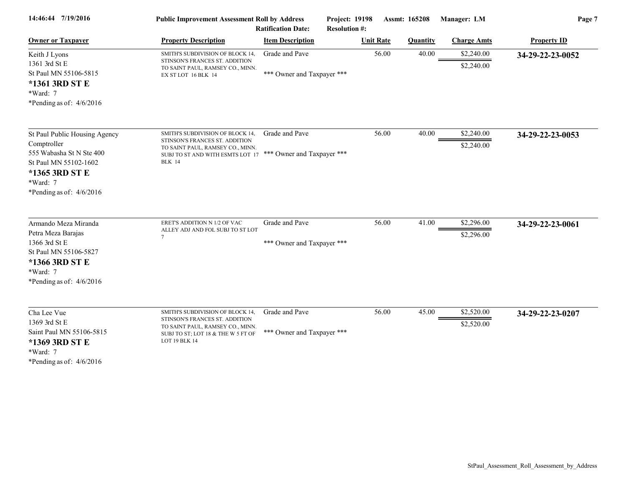| 14:46:44 7/19/2016                                                                                                                                            | <b>Public Improvement Assessment Roll by Address</b><br><b>Ratification Date:</b>                                                                                                      |                                              | Project: 19198<br><b>Resolution #:</b> | Assmt: 165208    |                 | Manager: LM              | Page 7             |  |
|---------------------------------------------------------------------------------------------------------------------------------------------------------------|----------------------------------------------------------------------------------------------------------------------------------------------------------------------------------------|----------------------------------------------|----------------------------------------|------------------|-----------------|--------------------------|--------------------|--|
| <b>Owner or Taxpayer</b>                                                                                                                                      | <b>Property Description</b>                                                                                                                                                            | <b>Item Description</b>                      |                                        | <b>Unit Rate</b> | <b>Quantity</b> | <b>Charge Amts</b>       | <b>Property ID</b> |  |
| Keith J Lyons<br>1361 3rd St E<br>St Paul MN 55106-5815<br>*1361 3RD ST E<br>*Ward: 7<br>*Pending as of: $4/6/2016$                                           | SMITH'S SUBDIVISION OF BLOCK 14,<br>STINSON'S FRANCES ST. ADDITION<br>TO SAINT PAUL, RAMSEY CO., MINN.<br>EX ST LOT 16 BLK 14                                                          | Grade and Pave<br>*** Owner and Taxpayer *** |                                        | 56.00            | 40.00           | \$2,240.00<br>\$2,240.00 | 34-29-22-23-0052   |  |
| St Paul Public Housing Agency<br>Comptroller<br>555 Wabasha St N Ste 400<br>St Paul MN 55102-1602<br>*1365 3RD ST E<br>*Ward: 7<br>*Pending as of: $4/6/2016$ | SMITH'S SUBDIVISION OF BLOCK 14,<br>STINSON'S FRANCES ST. ADDITION<br>TO SAINT PAUL, RAMSEY CO., MINN.<br>SUBJ TO ST AND WITH ESMTS LOT 17 *** Owner and Taxpayer ***<br><b>BLK 14</b> | Grade and Pave                               |                                        | 56.00            | 40.00           | \$2,240.00<br>\$2,240.00 | 34-29-22-23-0053   |  |
| Armando Meza Miranda<br>Petra Meza Barajas<br>1366 3rd St E<br>St Paul MN 55106-5827<br>*1366 3RD ST E<br>*Ward: 7<br>*Pending as of: $4/6/2016$              | ERET'S ADDITION N 1/2 OF VAC<br>ALLEY ADJ AND FOL SUBJ TO ST LOT<br>7                                                                                                                  | Grade and Pave<br>*** Owner and Taxpayer *** |                                        | 56.00            | 41.00           | \$2,296.00<br>\$2,296.00 | 34-29-22-23-0061   |  |
| Cha Lee Vue<br>1369 3rd St E<br>Saint Paul MN 55106-5815<br>*1369 3RD ST E<br>*Ward: 7<br>*Pending as of: $4/6/2016$                                          | SMITH'S SUBDIVISION OF BLOCK 14,<br>STINSON'S FRANCES ST. ADDITION<br>TO SAINT PAUL, RAMSEY CO., MINN.<br>SUBJ TO ST; LOT 18 & THE W 5 FT OF<br>LOT 19 BLK 14                          | Grade and Pave<br>*** Owner and Taxpayer *** |                                        | 56.00            | 45.00           | \$2,520.00<br>\$2,520.00 | 34-29-22-23-0207   |  |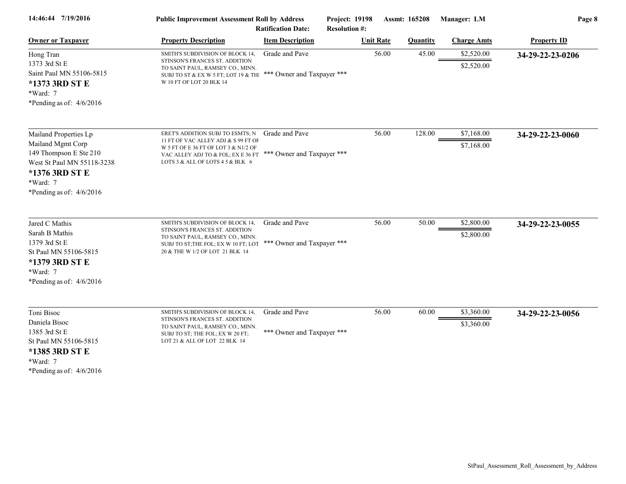| 14:46:44 7/19/2016                                                                                                                                             | <b>Public Improvement Assessment Roll by Address</b><br><b>Ratification Date:</b>                                                                                                         |                                              | Project: 19198<br><b>Resolution #:</b> | Assmt: 165208   | Manager: LM              | Page 8             |  |
|----------------------------------------------------------------------------------------------------------------------------------------------------------------|-------------------------------------------------------------------------------------------------------------------------------------------------------------------------------------------|----------------------------------------------|----------------------------------------|-----------------|--------------------------|--------------------|--|
| <b>Owner or Taxpayer</b>                                                                                                                                       | <b>Property Description</b>                                                                                                                                                               | <b>Item Description</b>                      | <b>Unit Rate</b>                       | <b>Quantity</b> | <b>Charge Amts</b>       | <b>Property ID</b> |  |
| Hong Tran<br>1373 3rd St E<br>Saint Paul MN 55106-5815<br>*1373 3RD ST E<br>*Ward: 7<br>*Pending as of: $4/6/2016$                                             | SMITH'S SUBDIVISION OF BLOCK 14,<br>STINSON'S FRANCES ST. ADDITION<br>TO SAINT PAUL, RAMSEY CO., MINN.<br>SUBJ TO ST & EX W 5 FT; LOT 19 & TH<br>W 10 FT OF LOT 20 BLK 14                 | Grade and Pave<br>*** Owner and Taxpayer *** |                                        | 45.00<br>56.00  | \$2,520.00<br>\$2,520.00 | 34-29-22-23-0206   |  |
| Mailand Properties Lp<br>Mailand Mgmt Corp<br>149 Thompson E Ste 210<br>West St Paul MN 55118-3238<br>*1376 3RD ST E<br>*Ward: 7<br>*Pending as of: $4/6/2016$ | ERET'S ADDITION SUBJ TO ESMTS; N<br>11 FT OF VAC ALLEY ADJ & S 99 FT OF<br>W 5 FT OF E 36 FT OF LOT 3 & N1/2 OF<br>VAC ALLEY ADJ TO & FOL; EX E 36 FT<br>LOTS 3 & ALL OF LOTS 4 5 & BLK 6 | Grade and Pave<br>*** Owner and Taxpayer *** |                                        | 56.00<br>128.00 | \$7,168.00<br>\$7,168.00 | 34-29-22-23-0060   |  |
| Jared C Mathis<br>Sarah B Mathis<br>1379 3rd St E<br>St Paul MN 55106-5815<br>*1379 3RD ST E<br>*Ward: 7<br>*Pending as of: $4/6/2016$                         | SMITH'S SUBDIVISION OF BLOCK 14,<br>STINSON'S FRANCES ST. ADDITION<br>TO SAINT PAUL, RAMSEY CO., MINN.<br>SUBJ TO ST; THE FOL; EX W 10 FT; LOT<br>20 & THE W 1/2 OF LOT 21 BLK 14         | Grade and Pave<br>*** Owner and Taxpayer *** |                                        | 56.00<br>50.00  | \$2,800.00<br>\$2,800.00 | 34-29-22-23-0055   |  |
| Toni Bisoc<br>Daniela Bisoc<br>1385 3rd St E<br>St Paul MN 55106-5815<br>*1385 3RD ST E<br>*Ward: 7<br>*Pending as of: $4/6/2016$                              | SMITH'S SUBDIVISION OF BLOCK 14.<br>STINSON'S FRANCES ST. ADDITION<br>TO SAINT PAUL, RAMSEY CO., MINN.<br>SUBJ TO ST; THE FOL; EX W 20 FT;<br>LOT 21 & ALL OF LOT 22 BLK 14               | Grade and Pave<br>*** Owner and Taxpayer *** |                                        | 56.00<br>60.00  | \$3,360.00<br>\$3,360.00 | 34-29-22-23-0056   |  |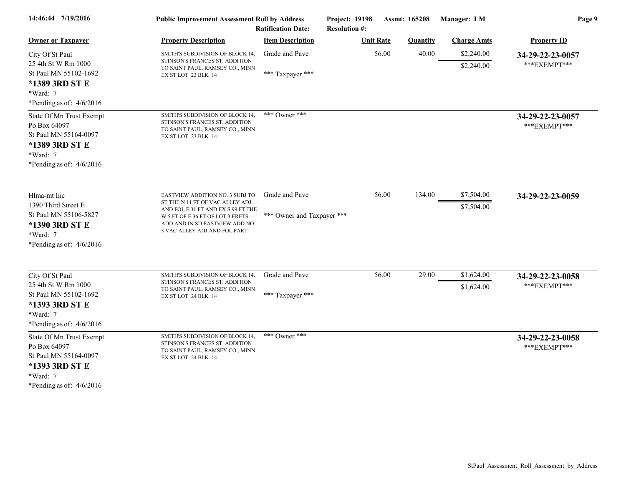| 14:46:44 7/19/2016                                                                                                              | <b>Public Improvement Assessment Roll by Address</b><br><b>Ratification Date:</b>                                                                                          |                            | <b>Project: 19198</b><br><b>Resolution #:</b> | Assmt: 165208   | Manager: LM              | Page 9                           |  |
|---------------------------------------------------------------------------------------------------------------------------------|----------------------------------------------------------------------------------------------------------------------------------------------------------------------------|----------------------------|-----------------------------------------------|-----------------|--------------------------|----------------------------------|--|
| <b>Owner or Taxpayer</b>                                                                                                        | <b>Property Description</b>                                                                                                                                                | <b>Item Description</b>    | <b>Unit Rate</b>                              | <b>Quantity</b> | <b>Charge Amts</b>       | <b>Property ID</b>               |  |
| City Of St Paul<br>25 4th St W Rm 1000                                                                                          | SMITH'S SUBDIVISION OF BLOCK 14,<br>STINSON'S FRANCES ST. ADDITION<br>TO SAINT PAUL, RAMSEY CO., MINN.                                                                     | Grade and Pave             | 56.00                                         | 40.00           | \$2,240.00<br>\$2,240.00 | 34-29-22-23-0057<br>***EXEMPT*** |  |
| St Paul MN 55102-1692<br>*1389 3RD ST E<br>*Ward: 7<br>*Pending as of: $4/6/2016$                                               | EX ST LOT 23 BLK 14                                                                                                                                                        | *** Taxpayer ***           |                                               |                 |                          |                                  |  |
| State Of Mn Trust Exempt<br>Po Box 64097<br>St Paul MN 55164-0097<br>*1389 3RD ST E<br>$*Ward: 7$<br>*Pending as of: $4/6/2016$ | SMITH'S SUBDIVISION OF BLOCK 14,<br>STINSON'S FRANCES ST. ADDITION<br>TO SAINT PAUL, RAMSEY CO., MINN.<br>EX ST LOT 23 BLK 14                                              | *** Owner ***              |                                               |                 |                          | 34-29-22-23-0057<br>***EXEMPT*** |  |
| Hlma-mt Inc                                                                                                                     | <b>EASTVIEW ADDITION NO. 3 SUBJ TO</b>                                                                                                                                     | Grade and Pave             | 56.00                                         | 134.00          | \$7,504.00               | 34-29-22-23-0059                 |  |
| 1390 Third Street E<br>St Paul MN 55106-5827<br>*1390 3RD ST E<br>*Ward: 7<br>*Pending as of: $4/6/2016$                        | ST THE N 11 FT OF VAC ALLEY ADJ<br>AND FOL E 31 FT AND EX S 99 FT THE<br>W 5 FT OF E 36 FT OF LOT 3 ERETS<br>ADD AND IN SD EASTVIEW ADD NO<br>3 VAC ALLEY ADJ AND FOL PART | *** Owner and Taxpayer *** |                                               |                 | \$7,504.00               |                                  |  |
| City Of St Paul<br>25 4th St W Rm 1000                                                                                          | SMITH'S SUBDIVISION OF BLOCK 14,<br>STINSON'S FRANCES ST. ADDITION                                                                                                         | Grade and Pave             | 56.00                                         | 29.00           | \$1,624.00               | 34-29-22-23-0058<br>***EXEMPT*** |  |
| St Paul MN 55102-1692<br>*1393 3RD ST E<br>*Ward: 7<br>*Pending as of: $4/6/2016$                                               | TO SAINT PAUL, RAMSEY CO., MINN.<br>EX ST LOT 24 BLK 14                                                                                                                    | *** Taxpayer ***           |                                               |                 | \$1,624.00               |                                  |  |
| State Of Mn Trust Exempt<br>Po Box 64097<br>St Paul MN 55164-0097<br>*1393 3RD ST E<br>$*Ward: 7$                               | SMITH'S SUBDIVISION OF BLOCK 14,<br>STINSON'S FRANCES ST. ADDITION<br>TO SAINT PAUL, RAMSEY CO., MINN.<br>EX ST LOT 24 BLK 14                                              | *** Owner ***              |                                               |                 |                          | 34-29-22-23-0058<br>***EXEMPT*** |  |

\*Pending as of: 4/6/2016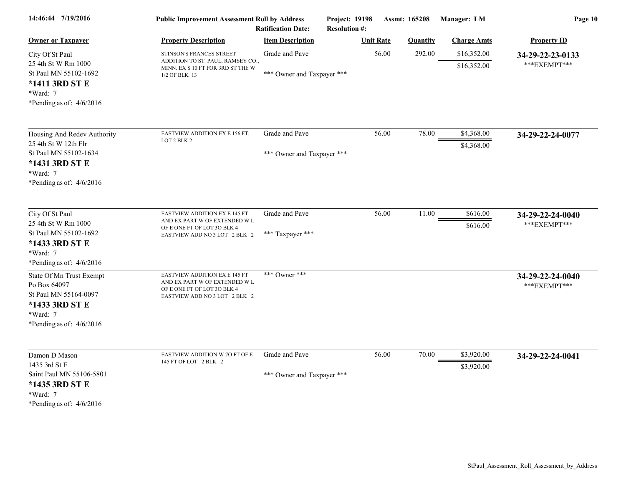| 14:46:44 7/19/2016                                                                                                                         | <b>Public Improvement Assessment Roll by Address</b><br><b>Ratification Date:</b>                                                             |                                              | Project: 19198<br><b>Resolution #:</b> | Assmt: 165208   | Manager: LM                | Page 10                           |  |
|--------------------------------------------------------------------------------------------------------------------------------------------|-----------------------------------------------------------------------------------------------------------------------------------------------|----------------------------------------------|----------------------------------------|-----------------|----------------------------|-----------------------------------|--|
| <b>Owner or Taxpayer</b>                                                                                                                   | <b>Property Description</b>                                                                                                                   | <b>Item Description</b>                      | <b>Unit Rate</b>                       | <b>Quantity</b> | <b>Charge Amts</b>         | <b>Property ID</b>                |  |
| City Of St Paul<br>25 4th St W Rm 1000<br>St Paul MN 55102-1692<br>*1411 3RD ST E<br>*Ward: 7<br>*Pending as of: $4/6/2016$                | STINSON'S FRANCES STREET<br>ADDITION TO ST. PAUL, RAMSEY CO.,<br>MINN. EX S 10 FT FOR 3RD ST THE W<br>1/2 OF BLK 13                           | Grade and Pave<br>*** Owner and Taxpayer *** | 56.00                                  | 292.00          | \$16,352.00<br>\$16,352.00 | 34-29-22-23-0133<br>***EXEMPT***  |  |
| Housing And Redev Authority<br>25 4th St W 12th Flr<br>St Paul MN 55102-1634<br>*1431 3RD ST E<br>$*Ward: 7$<br>*Pending as of: $4/6/2016$ | EASTVIEW ADDITION EX E 156 FT;<br>LOT 2 BLK 2                                                                                                 | Grade and Pave<br>*** Owner and Taxpayer *** | 56.00                                  | 78.00           | \$4,368.00<br>\$4,368.00   | 34-29-22-24-0077                  |  |
| City Of St Paul<br>25 4th St W Rm 1000<br>St Paul MN 55102-1692<br>*1433 3RD ST E<br>$*Ward: 7$<br>*Pending as of: $4/6/2016$              | <b>EASTVIEW ADDITION EX E 145 FT</b><br>AND EX PART W OF EXTENDED W ${\rm L}$<br>OF E ONE FT OF LOT 3O BLK 4<br>EASTVIEW ADD NO 3 LOT 2 BLK 2 | Grade and Pave<br>*** Taxpayer ***           | 56.00                                  | 11.00           | \$616.00<br>\$616.00       | 34-29-22-24-0040<br>*** EXEMPT*** |  |
| State Of Mn Trust Exempt<br>Po Box 64097<br>St Paul MN 55164-0097<br>*1433 3RD ST E<br>*Ward: 7<br>*Pending as of: $4/6/2016$              | <b>EASTVIEW ADDITION EX E 145 FT</b><br>AND EX PART W OF EXTENDED W L<br>OF E ONE FT OF LOT 3O BLK 4<br>EASTVIEW ADD NO 3 LOT 2 BLK 2         | *** Owner ***                                |                                        |                 |                            | 34-29-22-24-0040<br>***EXEMPT***  |  |
| Damon D Mason<br>1435 3rd St E<br>Saint Paul MN 55106-5801<br>*1435 3RD ST E<br>$*Ward: 7$<br>*Pending as of: $4/6/2016$                   | EASTVIEW ADDITION W 70 FT OF E<br>145 FT OF LOT 2 BLK 2                                                                                       | Grade and Pave<br>*** Owner and Taxpayer *** | 56.00                                  | 70.00           | \$3,920.00<br>\$3,920.00   | 34-29-22-24-0041                  |  |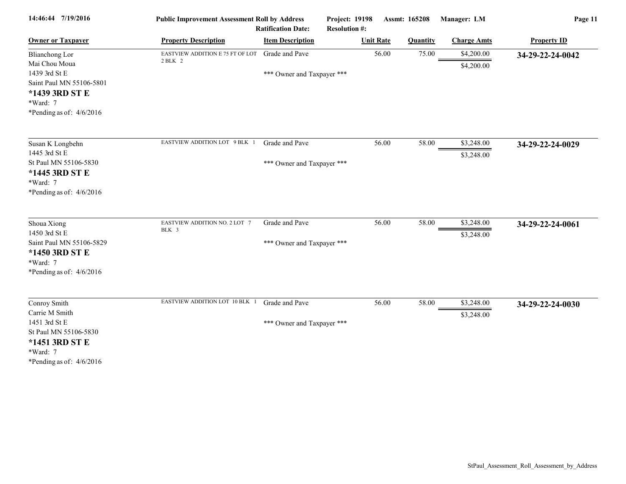| 14:46:44 7/19/2016                                                                                                                   | <b>Public Improvement Assessment Roll by Address</b><br><b>Ratification Date:</b> |                                              | Project: 19198<br><b>Resolution #:</b> | Assmt: 165208    |                 | Manager: LM              | Page 11            |
|--------------------------------------------------------------------------------------------------------------------------------------|-----------------------------------------------------------------------------------|----------------------------------------------|----------------------------------------|------------------|-----------------|--------------------------|--------------------|
| <b>Owner or Taxpayer</b>                                                                                                             | <b>Property Description</b>                                                       | <b>Item Description</b>                      |                                        | <b>Unit Rate</b> | <b>Quantity</b> | <b>Charge Amts</b>       | <b>Property ID</b> |
| <b>Blianchong Lor</b><br>Mai Chou Moua<br>1439 3rd St E<br>Saint Paul MN 55106-5801                                                  | EASTVIEW ADDITION E 75 FT OF LOT<br>2 BLK 2                                       | Grade and Pave<br>*** Owner and Taxpayer *** |                                        | 56.00            | 75.00           | \$4,200.00<br>\$4,200.00 | 34-29-22-24-0042   |
| *1439 3RD ST E<br>*Ward: 7<br>*Pending as of: $4/6/2016$                                                                             |                                                                                   |                                              |                                        |                  |                 |                          |                    |
| Susan K Longbehn<br>1445 3rd St E<br>St Paul MN 55106-5830<br>*1445 3RD ST E                                                         | EASTVIEW ADDITION LOT 9 BLK 1                                                     | Grade and Pave<br>*** Owner and Taxpayer *** |                                        | 56.00            | 58.00           | \$3,248.00<br>\$3,248.00 | 34-29-22-24-0029   |
| *Ward: 7<br>*Pending as of: $4/6/2016$                                                                                               |                                                                                   |                                              |                                        |                  |                 |                          |                    |
| Shoua Xiong<br>1450 3rd St E<br>Saint Paul MN 55106-5829<br>*1450 3RD ST E<br>*Ward: 7<br>*Pending as of: $4/6/2016$                 | EASTVIEW ADDITION NO. 2 LOT 7<br>BLK 3                                            | Grade and Pave<br>*** Owner and Taxpayer *** |                                        | 56.00            | 58.00           | \$3,248.00<br>\$3,248.00 | 34-29-22-24-0061   |
| Conroy Smith<br>Carrie M Smith<br>1451 3rd St E<br>St Paul MN 55106-5830<br>*1451 3RD ST E<br>*Ward: 7<br>*Pending as of: $4/6/2016$ | EASTVIEW ADDITION LOT 10 BLK 1                                                    | Grade and Pave<br>*** Owner and Taxpayer *** |                                        | 56.00            | 58.00           | \$3,248.00<br>\$3,248.00 | 34-29-22-24-0030   |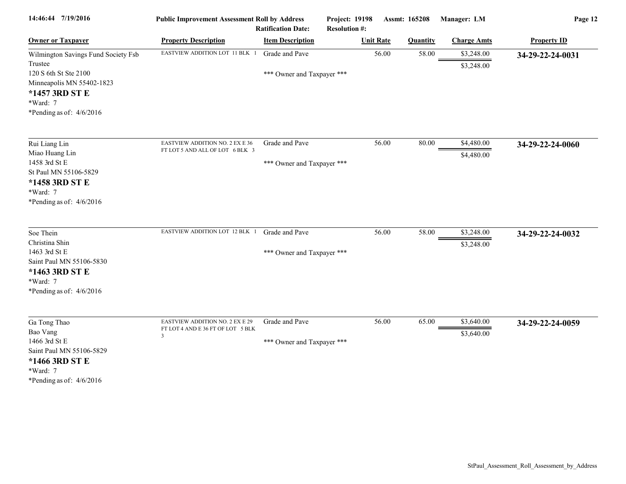| 14:46:44 7/19/2016                                                                                                      | <b>Public Improvement Assessment Roll by Address</b><br><b>Ratification Date:</b> |                            | Project: 19198<br><b>Resolution #:</b> | Assmt: 165208 |                 | Manager: LM              | Page 12            |  |
|-------------------------------------------------------------------------------------------------------------------------|-----------------------------------------------------------------------------------|----------------------------|----------------------------------------|---------------|-----------------|--------------------------|--------------------|--|
| <b>Owner or Taxpayer</b>                                                                                                | <b>Property Description</b>                                                       | <b>Item Description</b>    | <b>Unit Rate</b>                       |               | <b>Quantity</b> | <b>Charge Amts</b>       | <b>Property ID</b> |  |
| Wilmington Savings Fund Society Fsb<br>Trustee                                                                          | EASTVIEW ADDITION LOT 11 BLK 1                                                    | Grade and Pave             |                                        | 56.00         | 58.00           | \$3,248.00<br>\$3,248.00 | 34-29-22-24-0031   |  |
| 120 S 6th St Ste 2100<br>Minneapolis MN 55402-1823<br>*1457 3RD ST E<br>*Ward: 7<br>*Pending as of: $4/6/2016$          |                                                                                   | *** Owner and Taxpayer *** |                                        |               |                 |                          |                    |  |
| Rui Liang Lin                                                                                                           | <b>EASTVIEW ADDITION NO. 2 EX E 36</b>                                            | Grade and Pave             |                                        | 56.00         | 80.00           | \$4,480.00               | 34-29-22-24-0060   |  |
| Miao Huang Lin<br>1458 3rd St E<br>St Paul MN 55106-5829<br>*1458 3RD ST E<br>*Ward: 7<br>*Pending as of: $4/6/2016$    | FT LOT 5 AND ALL OF LOT 6 BLK 3                                                   | *** Owner and Taxpayer *** |                                        |               |                 | \$4,480.00               |                    |  |
| Soe Thein                                                                                                               | EASTVIEW ADDITION LOT 12 BLK 1                                                    | Grade and Pave             |                                        | 56.00         | 58.00           | \$3,248.00               | 34-29-22-24-0032   |  |
| Christina Shin<br>1463 3rd St E<br>Saint Paul MN 55106-5830<br>*1463 3RD ST E<br>*Ward: 7<br>*Pending as of: $4/6/2016$ |                                                                                   | *** Owner and Taxpayer *** |                                        |               |                 | \$3,248.00               |                    |  |
| Ga Tong Thao                                                                                                            | <b>EASTVIEW ADDITION NO. 2 EX E 29</b>                                            | Grade and Pave             |                                        | 56.00         | 65.00           | \$3,640.00               | 34-29-22-24-0059   |  |
| Bao Vang<br>1466 3rd St E<br>Saint Paul MN 55106-5829<br>*1466 3RD ST E<br>*Ward: 7<br>*Pending as of: $4/6/2016$       | FT LOT 4 AND E 36 FT OF LOT 5 BLK<br>3                                            | *** Owner and Taxpayer *** |                                        |               |                 | \$3,640.00               |                    |  |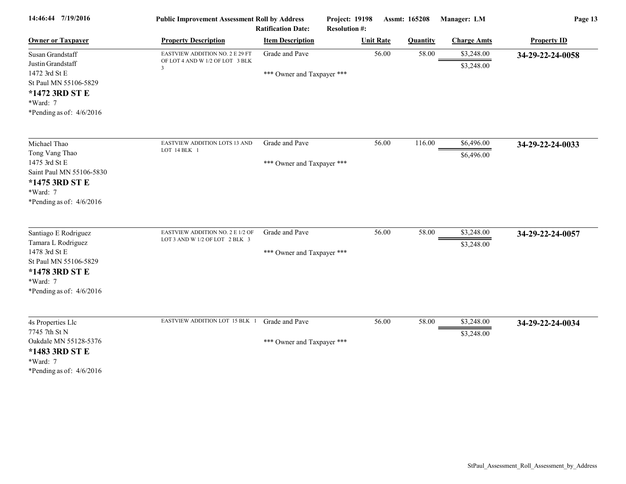| 14:46:44 7/19/2016                                                                                                                                 | <b>Public Improvement Assessment Roll by Address</b><br><b>Ratification Date:</b> |                                              | <b>Project: 19198</b><br><b>Resolution #:</b> | Assmt: 165208   | Manager: LM              | Page 13            |  |
|----------------------------------------------------------------------------------------------------------------------------------------------------|-----------------------------------------------------------------------------------|----------------------------------------------|-----------------------------------------------|-----------------|--------------------------|--------------------|--|
| <b>Owner or Taxpayer</b>                                                                                                                           | <b>Property Description</b>                                                       | <b>Item Description</b>                      | <b>Unit Rate</b>                              | <b>Quantity</b> | <b>Charge Amts</b>       | <b>Property ID</b> |  |
| Susan Grandstaff<br>Justin Grandstaff                                                                                                              | <b>EASTVIEW ADDITION NO. 2 E 29 FT</b><br>OF LOT 4 AND W 1/2 OF LOT 3 BLK         | Grade and Pave                               | 56.00                                         | 58.00           | \$3,248.00<br>\$3,248.00 | 34-29-22-24-0058   |  |
| 1472 3rd St E<br>St Paul MN 55106-5829<br>*1472 3RD ST E<br>*Ward: 7<br>*Pending as of: $4/6/2016$                                                 | $\mathcal{R}$                                                                     | *** Owner and Taxpayer ***                   |                                               |                 |                          |                    |  |
| Michael Thao<br>Tong Vang Thao                                                                                                                     | EASTVIEW ADDITION LOTS 13 AND<br>LOT 14 BLK 1                                     | Grade and Pave                               | 56.00                                         | 116.00          | \$6,496.00               | 34-29-22-24-0033   |  |
| 1475 3rd St E<br>Saint Paul MN 55106-5830<br>*1475 3RD ST E<br>*Ward: 7<br>*Pending as of: $4/6/2016$                                              |                                                                                   | *** Owner and Taxpayer ***                   |                                               |                 | \$6,496.00               |                    |  |
| Santiago E Rodriguez<br>Tamara L Rodriguez<br>1478 3rd St E<br>St Paul MN 55106-5829<br>*1478 3RD ST E<br>$*Ward: 7$<br>*Pending as of: $4/6/2016$ | EASTVIEW ADDITION NO. 2 E 1/2 OF<br>LOT 3 AND W 1/2 OF LOT 2 BLK 3                | Grade and Pave<br>*** Owner and Taxpayer *** | 56.00                                         | 58.00           | \$3,248.00<br>\$3,248.00 | 34-29-22-24-0057   |  |
| 4s Properties Llc<br>7745 7th St N<br>Oakdale MN 55128-5376<br>*1483 3RD ST E<br>*Ward: 7                                                          | EASTVIEW ADDITION LOT 15 BLK 1                                                    | Grade and Pave<br>*** Owner and Taxpayer *** | 56.00                                         | 58.00           | \$3,248.00<br>\$3,248.00 | 34-29-22-24-0034   |  |
| *Pending as of: $4/6/2016$                                                                                                                         |                                                                                   |                                              |                                               |                 |                          |                    |  |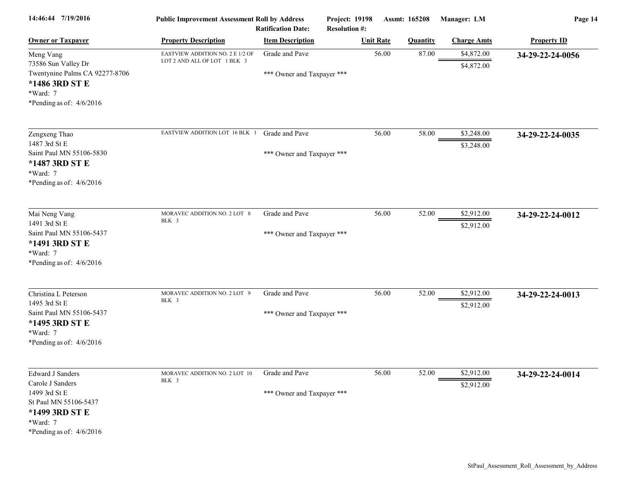| 14:46:44 7/19/2016                                                                                                                                | <b>Public Improvement Assessment Roll by Address</b>             | <b>Ratification Date:</b>                    | Project: 19198<br><b>Resolution #:</b> |       | Assmt: 165208   | Manager: LM              | Page 14            |
|---------------------------------------------------------------------------------------------------------------------------------------------------|------------------------------------------------------------------|----------------------------------------------|----------------------------------------|-------|-----------------|--------------------------|--------------------|
| <b>Owner or Taxpayer</b>                                                                                                                          | <b>Property Description</b>                                      | <b>Item Description</b>                      | <b>Unit Rate</b>                       |       | <b>Quantity</b> | <b>Charge Amts</b>       | <b>Property ID</b> |
| Meng Vang<br>73586 Sun Valley Dr<br>Twentynine Palms CA 92277-8706<br>*1486 3RD ST E<br>*Ward: 7<br>*Pending as of: $4/6/2016$                    | EASTVIEW ADDITION NO. 2 E 1/2 OF<br>LOT 2 AND ALL OF LOT 1 BLK 3 | Grade and Pave<br>*** Owner and Taxpayer *** |                                        | 56.00 | 87.00           | \$4,872.00<br>\$4,872.00 | 34-29-22-24-0056   |
| Zengxeng Thao<br>1487 3rd St E<br>Saint Paul MN 55106-5830<br>*1487 3RD ST E<br>*Ward: 7<br>*Pending as of: $4/6/2016$                            | EASTVIEW ADDITION LOT 16 BLK 1                                   | Grade and Pave<br>*** Owner and Taxpayer *** |                                        | 56.00 | 58.00           | \$3,248.00<br>\$3,248.00 | 34-29-22-24-0035   |
| Mai Neng Vang<br>1491 3rd St E<br>Saint Paul MN 55106-5437<br>*1491 3RD ST E<br>*Ward: 7<br>*Pending as of: $4/6/2016$                            | MORAVEC ADDITION NO. 2 LOT 8<br>BLK 3                            | Grade and Pave<br>*** Owner and Taxpayer *** |                                        | 56.00 | 52.00           | \$2,912.00<br>\$2,912.00 | 34-29-22-24-0012   |
| Christina L Peterson<br>1495 3rd St E<br>Saint Paul MN 55106-5437<br>*1495 3RD ST E<br>*Ward: 7<br>*Pending as of: $4/6/2016$                     | MORAVEC ADDITION NO. 2 LOT 9<br>BLK 3                            | Grade and Pave<br>*** Owner and Taxpayer *** |                                        | 56.00 | 52.00           | \$2,912.00<br>\$2,912.00 | 34-29-22-24-0013   |
| <b>Edward J Sanders</b><br>Carole J Sanders<br>1499 3rd St E<br>St Paul MN 55106-5437<br>*1499 3RD ST E<br>*Ward: 7<br>*Pending as of: $4/6/2016$ | MORAVEC ADDITION NO. 2 LOT 10<br>BLK 3                           | Grade and Pave<br>*** Owner and Taxpayer *** |                                        | 56.00 | 52.00           | \$2,912.00<br>\$2,912.00 | 34-29-22-24-0014   |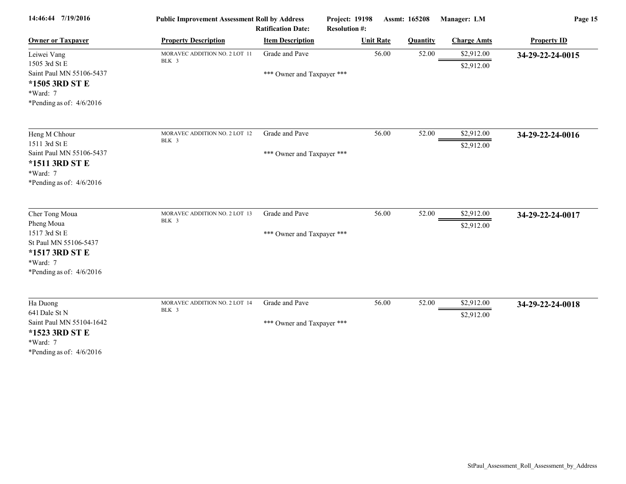| 14:46:44 7/19/2016                                                                                                                 | <b>Public Improvement Assessment Roll by Address</b><br><b>Ratification Date:</b> |                                              | Project: 19198<br>Assmt: 165208<br><b>Resolution #:</b> |                 | Manager: LM              | Page 15            |  |
|------------------------------------------------------------------------------------------------------------------------------------|-----------------------------------------------------------------------------------|----------------------------------------------|---------------------------------------------------------|-----------------|--------------------------|--------------------|--|
| <b>Owner or Taxpayer</b>                                                                                                           | <b>Property Description</b>                                                       | <b>Item Description</b>                      | <b>Unit Rate</b>                                        | <b>Quantity</b> | <b>Charge Amts</b>       | <b>Property ID</b> |  |
| Leiwei Vang<br>1505 3rd St E<br>Saint Paul MN 55106-5437<br>*1505 3RD ST E<br>*Ward: 7<br>*Pending as of: 4/6/2016                 | MORAVEC ADDITION NO. 2 LOT 11<br>BLK 3                                            | Grade and Pave<br>*** Owner and Taxpayer *** | 56.00                                                   | 52.00           | \$2,912.00<br>\$2,912.00 | 34-29-22-24-0015   |  |
| Heng M Chhour<br>1511 3rd St E<br>Saint Paul MN 55106-5437<br>*1511 3RD ST E<br>*Ward: 7<br>*Pending as of: $4/6/2016$             | MORAVEC ADDITION NO. 2 LOT 12<br>BLK 3                                            | Grade and Pave<br>*** Owner and Taxpayer *** | 56.00                                                   | 52.00           | \$2,912.00<br>\$2,912.00 | 34-29-22-24-0016   |  |
| Cher Tong Moua<br>Pheng Moua<br>1517 3rd St E<br>St Paul MN 55106-5437<br>*1517 3RD ST E<br>*Ward: 7<br>*Pending as of: $4/6/2016$ | MORAVEC ADDITION NO. 2 LOT 13<br>BLK 3                                            | Grade and Pave<br>*** Owner and Taxpayer *** | 56.00                                                   | 52.00           | \$2,912.00<br>\$2,912.00 | 34-29-22-24-0017   |  |
| Ha Duong<br>641 Dale St N<br>Saint Paul MN 55104-1642<br>*1523 3RD ST E<br>*Ward: 7<br>*Pending as of: $4/6/2016$                  | MORAVEC ADDITION NO. 2 LOT 14<br>BLK 3                                            | Grade and Pave<br>*** Owner and Taxpayer *** | 56.00                                                   | 52.00           | \$2,912.00<br>\$2,912.00 | 34-29-22-24-0018   |  |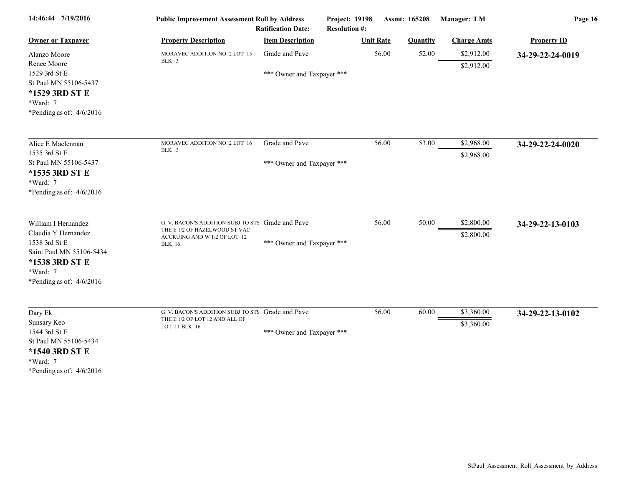| 14:46:44 7/19/2016                                                                                                                                  | <b>Public Improvement Assessment Roll by Address</b><br><b>Ratification Date:</b>                                                   |                            | Project: 19198<br><b>Resolution #:</b> | <b>Assmt: 165208</b> |                 | Manager: LM              | Page 16            |  |
|-----------------------------------------------------------------------------------------------------------------------------------------------------|-------------------------------------------------------------------------------------------------------------------------------------|----------------------------|----------------------------------------|----------------------|-----------------|--------------------------|--------------------|--|
| <b>Owner or Taxpayer</b>                                                                                                                            | <b>Property Description</b>                                                                                                         | <b>Item Description</b>    |                                        | <b>Unit Rate</b>     | <b>Quantity</b> | <b>Charge Amts</b>       | <b>Property ID</b> |  |
| Alanzo Moore<br>Renee Moore                                                                                                                         | MORAVEC ADDITION NO. 2 LOT 15<br>BLK 3                                                                                              | Grade and Pave             |                                        | 56.00                | 52.00           | \$2,912.00<br>\$2,912.00 | 34-29-22-24-0019   |  |
| 1529 3rd St E<br>St Paul MN 55106-5437<br>*1529 3RD ST E<br>*Ward: 7<br>*Pending as of: $4/6/2016$                                                  |                                                                                                                                     | *** Owner and Taxpayer *** |                                        |                      |                 |                          |                    |  |
| Alice E Maclennan<br>1535 3rd St E                                                                                                                  | MORAVEC ADDITION NO. 2 LOT 16<br>BLK 3                                                                                              | Grade and Pave             |                                        | 56.00                | 53.00           | \$2,968.00<br>\$2,968.00 | 34-29-22-24-0020   |  |
| St Paul MN 55106-5437<br>*1535 3RD ST E<br>*Ward: 7<br>*Pending as of: $4/6/2016$                                                                   |                                                                                                                                     | *** Owner and Taxpayer *** |                                        |                      |                 |                          |                    |  |
| William I Hernandez<br>Claudia Y Hernandez<br>1538 3rd St E<br>Saint Paul MN 55106-5434<br>*1538 3RD ST E<br>*Ward: 7<br>*Pending as of: $4/6/2016$ | G. V. BACON'S ADDITION SUBJ TO STS Grade and Pave<br>THE E 1/2 OF HAZELWOOD ST VAC<br>ACCRUING AND W 1/2 OF LOT 12<br><b>BLK 16</b> | *** Owner and Taxpayer *** |                                        | 56.00                | 50.00           | \$2,800.00<br>\$2,800.00 | 34-29-22-13-0103   |  |
| Dary Ek<br>Sunsary Keo<br>1544 3rd St E<br>St Paul MN 55106-5434<br>*1540 3RD ST E<br>*Ward: 7<br>*Pending as of: $4/6/2016$                        | G. V. BACON'S ADDITION SUBJ TO STS Grade and Pave<br>THE E 1/2 OF LOT 12 AND ALL OF<br>LOT 11 BLK 16                                | *** Owner and Taxpayer *** |                                        | 56.00                | 60.00           | \$3,360.00<br>\$3,360.00 | 34-29-22-13-0102   |  |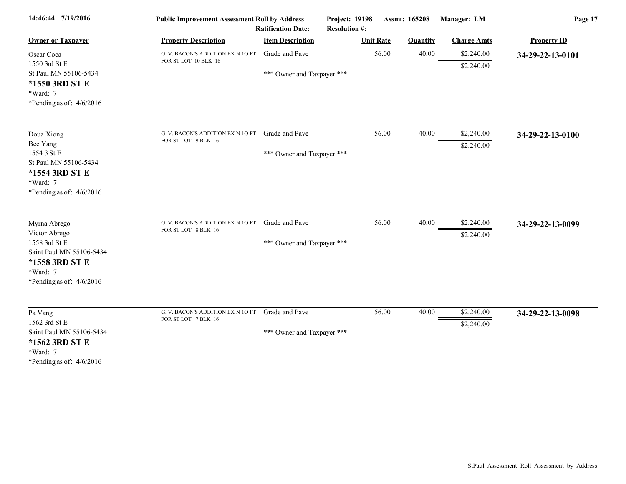| 14:46:44 7/19/2016                                                                                                                     | <b>Public Improvement Assessment Roll by Address</b><br><b>Ratification Date:</b> |                                              | Project: 19198<br><b>Resolution #:</b> | Assmt: 165208    |                 | Manager: LM              | Page 17            |  |
|----------------------------------------------------------------------------------------------------------------------------------------|-----------------------------------------------------------------------------------|----------------------------------------------|----------------------------------------|------------------|-----------------|--------------------------|--------------------|--|
| <b>Owner or Taxpayer</b>                                                                                                               | <b>Property Description</b>                                                       | <b>Item Description</b>                      |                                        | <b>Unit Rate</b> | <b>Quantity</b> | <b>Charge Amts</b>       | <b>Property ID</b> |  |
| Oscar Coca<br>1550 3rd St E<br>St Paul MN 55106-5434<br>*1550 3RD ST E<br>*Ward: 7<br>*Pending as of: $4/6/2016$                       | G. V. BACON'S ADDITION EX N 10 FT<br>FOR ST LOT 10 BLK 16                         | Grade and Pave<br>*** Owner and Taxpayer *** |                                        | 56.00            | 40.00           | \$2,240.00<br>\$2,240.00 | 34-29-22-13-0101   |  |
| Doua Xiong<br>Bee Yang<br>1554 3 St E<br>St Paul MN 55106-5434<br>*1554 3RD ST E<br>*Ward: 7<br>*Pending as of: $4/6/2016$             | G. V. BACON'S ADDITION EX N 10 FT<br>FOR ST LOT 9 BLK 16                          | Grade and Pave<br>*** Owner and Taxpayer *** |                                        | 56.00            | 40.00           | \$2,240.00<br>\$2,240.00 | 34-29-22-13-0100   |  |
| Myrna Abrego<br>Victor Abrego<br>1558 3rd St E<br>Saint Paul MN 55106-5434<br>*1558 3RD ST E<br>*Ward: 7<br>*Pending as of: $4/6/2016$ | G. V. BACON'S ADDITION EX N 10 FT<br>FOR ST LOT 8 BLK 16                          | Grade and Pave<br>*** Owner and Taxpayer *** |                                        | 56.00            | 40.00           | \$2,240.00<br>\$2,240.00 | 34-29-22-13-0099   |  |
| Pa Vang<br>1562 3rd St E<br>Saint Paul MN 55106-5434<br>*1562 3RD ST E<br>*Ward: 7<br>*Pending as of: $4/6/2016$                       | G. V. BACON'S ADDITION EX N 10 FT<br>FOR ST LOT 7 BLK 16                          | Grade and Pave<br>*** Owner and Taxpayer *** |                                        | 56.00            | 40.00           | \$2,240.00<br>\$2,240.00 | 34-29-22-13-0098   |  |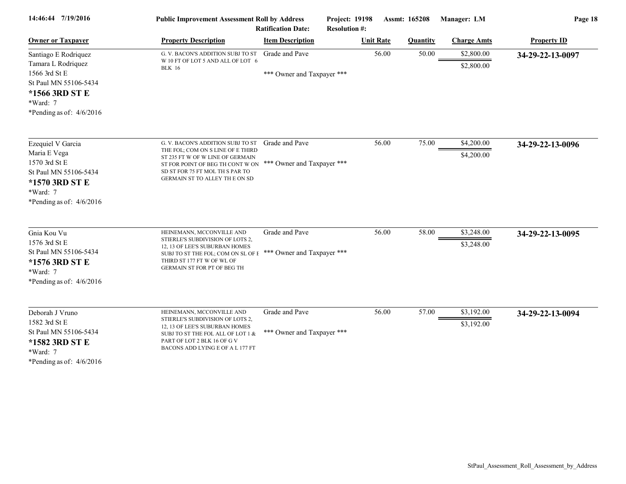| 14:46:44 7/19/2016                                                                                                                               | <b>Public Improvement Assessment Roll by Address</b><br><b>Ratification Date:</b>                                                                                                                                  |                                              | <b>Project: 19198</b><br><b>Resolution #:</b> | Assmt: 165208 |                 | Manager: LM              | Page 18            |  |
|--------------------------------------------------------------------------------------------------------------------------------------------------|--------------------------------------------------------------------------------------------------------------------------------------------------------------------------------------------------------------------|----------------------------------------------|-----------------------------------------------|---------------|-----------------|--------------------------|--------------------|--|
| <b>Owner or Taxpayer</b>                                                                                                                         | <b>Property Description</b>                                                                                                                                                                                        | <b>Item Description</b>                      | <b>Unit Rate</b>                              |               | <b>Quantity</b> | <b>Charge Amts</b>       | <b>Property ID</b> |  |
| Santiago E Rodriquez<br>Tamara L Rodriquez<br>1566 3rd St E<br>St Paul MN 55106-5434<br>*1566 3RD ST E<br>*Ward: 7<br>*Pending as of: $4/6/2016$ | G. V. BACON'S ADDITION SUBJ TO ST<br>W 10 FT OF LOT 5 AND ALL OF LOT 6<br><b>BLK</b> 16                                                                                                                            | Grade and Pave<br>*** Owner and Taxpayer *** |                                               | 56.00         | 50.00           | \$2,800.00<br>\$2,800.00 | 34-29-22-13-0097   |  |
| Ezequiel V Garcia<br>Maria E Vega<br>1570 3rd St E<br>St Paul MN 55106-5434<br>*1570 3RD ST E<br>*Ward: 7<br>*Pending as of: $4/6/2016$          | G. V. BACON'S ADDITION SUBJ TO ST<br>THE FOL; COM ON S LINE OF E THIRD<br>ST 235 FT W OF W LINE OF GERMAIN<br>ST FOR POINT OF BEG TH CONT W ON<br>SD ST FOR 75 FT MOL TH S PAR TO<br>GERMAIN ST TO ALLEY THE ON SD | Grade and Pave<br>*** Owner and Taxpayer *** |                                               | 56.00         | 75.00           | \$4,200.00<br>\$4,200.00 | 34-29-22-13-0096   |  |
| Gnia Kou Vu<br>1576 3rd St E<br>St Paul MN 55106-5434<br>*1576 3RD ST E<br>*Ward: 7<br>*Pending as of: $4/6/2016$                                | HEINEMANN, MCCONVILLE AND<br>STIERLE'S SUBDIVISION OF LOTS 2,<br>12, 13 OF LEE'S SUBURBAN HOMES<br>SUBJ TO ST THE FOL; COM ON SL OF E<br>THIRD ST 177 FT W OF WL OF<br>GERMAIN ST FOR PT OF BEG TH                 | Grade and Pave<br>*** Owner and Taxpayer *** |                                               | 56.00         | 58.00           | \$3,248.00<br>\$3,248.00 | 34-29-22-13-0095   |  |
| Deborah J Vruno<br>1582 3rd St E<br>St Paul MN 55106-5434<br>*1582 3RD ST E<br>*Ward: 7<br>*Pending as of: $4/6/2016$                            | HEINEMANN, MCCONVILLE AND<br>STIERLE'S SUBDIVISION OF LOTS 2,<br>12, 13 OF LEE'S SUBURBAN HOMES<br>SUBJ TO ST THE FOL ALL OF LOT 1 &<br>PART OF LOT 2 BLK 16 OF G V<br>BACONS ADD LYING E OF A L 177 FT            | Grade and Pave<br>*** Owner and Taxpayer *** |                                               | 56.00         | 57.00           | \$3,192.00<br>\$3,192.00 | 34-29-22-13-0094   |  |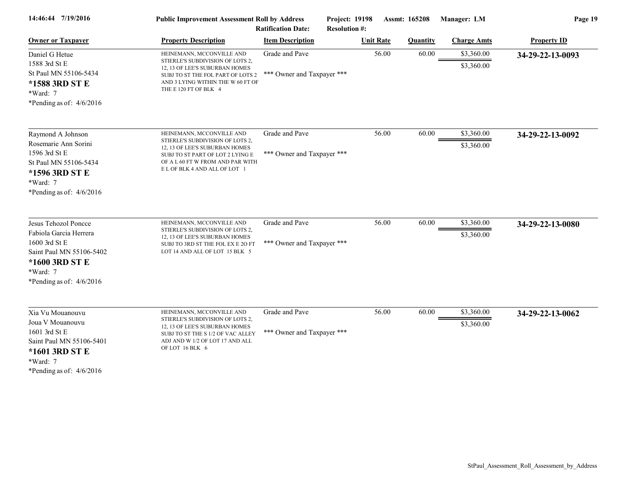| 14:46:44 7/19/2016                                                                                                                                        | <b>Public Improvement Assessment Roll by Address</b>                                                                                                                                                     |                                                      | <b>Project: 19198</b> | Assmt: 165208    |                 | Manager: LM              | Page 19            |  |
|-----------------------------------------------------------------------------------------------------------------------------------------------------------|----------------------------------------------------------------------------------------------------------------------------------------------------------------------------------------------------------|------------------------------------------------------|-----------------------|------------------|-----------------|--------------------------|--------------------|--|
| <b>Owner or Taxpayer</b>                                                                                                                                  | <b>Property Description</b>                                                                                                                                                                              | <b>Ratification Date:</b><br><b>Item Description</b> | <b>Resolution #:</b>  | <b>Unit Rate</b> | <b>Quantity</b> | <b>Charge Amts</b>       | <b>Property ID</b> |  |
| Daniel G Hetue<br>1588 3rd St E<br>St Paul MN 55106-5434<br>*1588 3RD ST E<br>$*Ward: 7$<br>*Pending as of: $4/6/2016$                                    | HEINEMANN, MCCONVILLE AND<br>STIERLE'S SUBDIVISION OF LOTS 2,<br>12, 13 OF LEE'S SUBURBAN HOMES<br>SUBJ TO ST THE FOL PART OF LOTS 2<br>AND 3 LYING WITHIN THE W 60 FT OF<br>THE E 120 FT OF BLK 4       | Grade and Pave<br>*** Owner and Taxpayer ***         |                       | 56.00            | 60.00           | \$3,360.00<br>\$3,360.00 | 34-29-22-13-0093   |  |
| Raymond A Johnson<br>Rosemarie Ann Sorini<br>1596 3rd St E<br>St Paul MN 55106-5434<br>*1596 3RD ST E<br>*Ward: 7<br>*Pending as of: $4/6/2016$           | HEINEMANN, MCCONVILLE AND<br>STIERLE'S SUBDIVISION OF LOTS 2,<br>12, 13 OF LEE'S SUBURBAN HOMES<br>SUBJ TO ST PART OF LOT 2 LYING E<br>OF A L 60 FT W FROM AND PAR WITH<br>E L OF BLK 4 AND ALL OF LOT 1 | Grade and Pave<br>*** Owner and Taxpayer ***         |                       | 56.00            | 60.00           | \$3,360.00<br>\$3,360.00 | 34-29-22-13-0092   |  |
| Jesus Tehozol Poncce<br>Fabiola Garcia Herrera<br>1600 3rd St E<br>Saint Paul MN 55106-5402<br>*1600 3RD ST E<br>$*Ward: 7$<br>*Pending as of: $4/6/2016$ | HEINEMANN, MCCONVILLE AND<br>STIERLE'S SUBDIVISION OF LOTS 2,<br>12, 13 OF LEE'S SUBURBAN HOMES<br>SUBJ TO 3RD ST THE FOL EX E 2O FT<br>LOT 14 AND ALL OF LOT 15 BLK 5                                   | Grade and Pave<br>*** Owner and Taxpayer ***         |                       | 56.00            | 60.00           | \$3,360.00<br>\$3,360.00 | 34-29-22-13-0080   |  |
| Xia Vu Mouanouvu<br>Joua V Mouanouvu<br>1601 3rd St E<br>Saint Paul MN 55106-5401<br>*1601 3RD ST E<br>*Ward: 7<br>*Pending as of: $4/6/2016$             | HEINEMANN, MCCONVILLE AND<br>STIERLE'S SUBDIVISION OF LOTS 2,<br>12, 13 OF LEE'S SUBURBAN HOMES<br>SUBJ TO ST THE S 1/2 OF VAC ALLEY<br>ADJ AND W 1/2 OF LOT 17 AND ALL<br>OF LOT 16 BLK 6               | Grade and Pave<br>*** Owner and Taxpayer ***         |                       | 56.00            | 60.00           | \$3,360.00<br>\$3,360.00 | 34-29-22-13-0062   |  |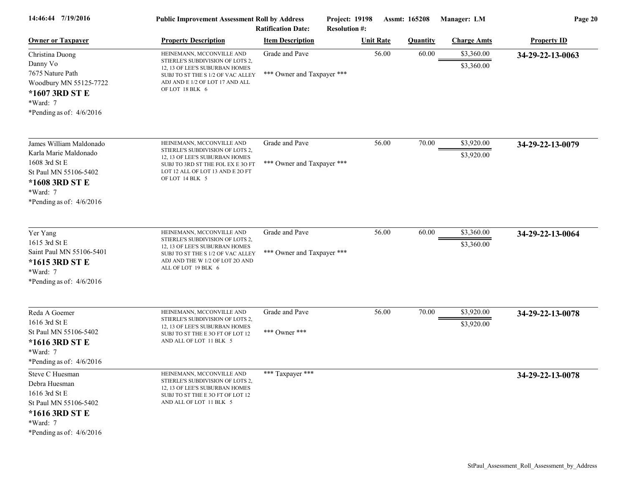| 14:46:44 7/19/2016                                                                                                                                     | <b>Public Improvement Assessment Roll by Address</b>                                                                                                                                           | <b>Ratification Date:</b>                    | Project: 19198<br><b>Resolution #:</b> |                  | Assmt: 165208   | Manager: LM              | Page 20            |
|--------------------------------------------------------------------------------------------------------------------------------------------------------|------------------------------------------------------------------------------------------------------------------------------------------------------------------------------------------------|----------------------------------------------|----------------------------------------|------------------|-----------------|--------------------------|--------------------|
| <b>Owner or Taxpayer</b>                                                                                                                               | <b>Property Description</b>                                                                                                                                                                    | <b>Item Description</b>                      |                                        | <b>Unit Rate</b> | <b>Quantity</b> | <b>Charge Amts</b>       | <b>Property ID</b> |
| Christina Duong<br>Danny Vo<br>7675 Nature Path<br>Woodbury MN 55125-7722<br>*1607 3RD ST E<br>*Ward: 7<br>*Pending as of: $4/6/2016$                  | HEINEMANN, MCCONVILLE AND<br>STIERLE'S SUBDIVISION OF LOTS 2,<br>12, 13 OF LEE'S SUBURBAN HOMES<br>SUBJ TO ST THE S 1/2 OF VAC ALLEY<br>ADJ AND E 1/2 OF LOT 17 AND ALL<br>OF LOT 18 BLK 6     | Grade and Pave<br>*** Owner and Taxpayer *** |                                        | 56.00            | 60.00           | \$3,360.00<br>\$3,360.00 | 34-29-22-13-0063   |
| James William Maldonado<br>Karla Marie Maldonado<br>1608 3rd St E<br>St Paul MN 55106-5402<br>*1608 3RD ST E<br>*Ward: 7<br>*Pending as of: $4/6/2016$ | HEINEMANN, MCCONVILLE AND<br>STIERLE'S SUBDIVISION OF LOTS 2,<br>12, 13 OF LEE'S SUBURBAN HOMES<br>SUBJ TO 3RD ST THE FOL EX E 3O FT<br>LOT 12 ALL OF LOT 13 AND E 20 FT<br>OF LOT 14 BLK 5    | Grade and Pave<br>*** Owner and Taxpayer *** |                                        | 56.00            | 70.00           | \$3,920.00<br>\$3,920.00 | 34-29-22-13-0079   |
| Yer Yang<br>1615 3rd St E<br>Saint Paul MN 55106-5401<br>*1615 3RD ST E<br>*Ward: 7<br>*Pending as of: $4/6/2016$                                      | HEINEMANN, MCCONVILLE AND<br>STIERLE'S SUBDIVISION OF LOTS 2,<br>12, 13 OF LEE'S SUBURBAN HOMES<br>SUBJ TO ST THE S 1/2 OF VAC ALLEY<br>ADJ AND THE W 1/2 OF LOT 20 AND<br>ALL OF LOT 19 BLK 6 | Grade and Pave<br>*** Owner and Taxpayer *** |                                        | 56.00            | 60.00           | \$3,360.00<br>\$3,360.00 | 34-29-22-13-0064   |
| Reda A Goemer<br>1616 3rd St E<br>St Paul MN 55106-5402<br>*1616 3RD ST E<br>*Ward: 7<br>*Pending as of: $4/6/2016$                                    | HEINEMANN, MCCONVILLE AND<br>STIERLE'S SUBDIVISION OF LOTS 2,<br>12, 13 OF LEE'S SUBURBAN HOMES<br>SUBJ TO ST THE E 3O FT OF LOT 12<br>AND ALL OF LOT 11 BLK 5                                 | Grade and Pave<br>*** Owner ***              |                                        | 56.00            | 70.00           | \$3,920.00<br>\$3,920.00 | 34-29-22-13-0078   |
| Steve C Huesman<br>Debra Huesman<br>1616 3rd St E<br>St Paul MN 55106-5402<br>*1616 3RD ST E<br>*Ward: 7<br>*Pending as of: $4/6/2016$                 | HEINEMANN, MCCONVILLE AND<br>STIERLE'S SUBDIVISION OF LOTS 2,<br>12, 13 OF LEE'S SUBURBAN HOMES<br>SUBJ TO ST THE E 3O FT OF LOT 12<br>AND ALL OF LOT 11 BLK 5                                 | *** Taxpayer ***                             |                                        |                  |                 |                          | 34-29-22-13-0078   |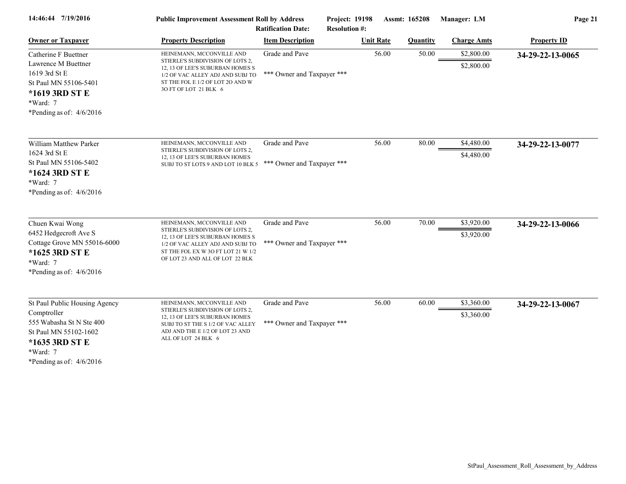| 14:46:44 7/19/2016                                                                                                                                            | <b>Public Improvement Assessment Roll by Address</b>                                                                                                                                                           | <b>Ratification Date:</b>                    | Project: 19198<br><b>Resolution #:</b> |                  | Assmt: 165208   | Manager: LM              | Page 21            |
|---------------------------------------------------------------------------------------------------------------------------------------------------------------|----------------------------------------------------------------------------------------------------------------------------------------------------------------------------------------------------------------|----------------------------------------------|----------------------------------------|------------------|-----------------|--------------------------|--------------------|
| <b>Owner or Taxpayer</b>                                                                                                                                      | <b>Property Description</b>                                                                                                                                                                                    | <b>Item Description</b>                      |                                        | <b>Unit Rate</b> | <b>Quantity</b> | <b>Charge Amts</b>       | <b>Property ID</b> |
| Catherine F Buettner<br>Lawrence M Buettner<br>1619 3rd St E<br>St Paul MN 55106-5401<br>*1619 3RD ST E<br>*Ward: 7<br>*Pending as of: $4/6/2016$             | HEINEMANN, MCCONVILLE AND<br>STIERLE'S SUBDIVISION OF LOTS 2,<br>12, 13 OF LEE'S SUBURBAN HOMES S<br>1/2 OF VAC ALLEY ADJ AND SUBJ TO<br>ST THE FOL E 1/2 OF LOT 2O AND W<br>3O FT OF LOT 21 BLK 6             | Grade and Pave<br>*** Owner and Taxpayer *** |                                        | 56.00            | 50.00           | \$2,800.00<br>\$2,800.00 | 34-29-22-13-0065   |
| William Matthew Parker<br>1624 3rd St E<br>St Paul MN 55106-5402<br>*1624 3RD ST E<br>$*Ward: 7$<br>*Pending as of: $4/6/2016$                                | HEINEMANN, MCCONVILLE AND<br>STIERLE'S SUBDIVISION OF LOTS 2,<br>12, 13 OF LEE'S SUBURBAN HOMES<br>SUBJ TO ST LOTS 9 AND LOT 10 BLK 5                                                                          | Grade and Pave<br>*** Owner and Taxpayer *** |                                        | 56.00            | 80.00           | \$4,480.00<br>\$4,480.00 | 34-29-22-13-0077   |
| Chuen Kwai Wong<br>6452 Hedgecroft Ave S<br>Cottage Grove MN 55016-6000<br>*1625 3RD ST E<br>*Ward: 7<br>*Pending as of: $4/6/2016$                           | HEINEMANN, MCCONVILLE AND<br>STIERLE'S SUBDIVISION OF LOTS 2,<br>12, 13 OF LEE'S SUBURBAN HOMES S<br>1/2 OF VAC ALLEY ADJ AND SUBJ TO<br>ST THE FOL EX W 3O FT LOT 21 W 1/2<br>OF LOT 23 AND ALL OF LOT 22 BLK | Grade and Pave<br>*** Owner and Taxpayer *** |                                        | 56.00            | 70.00           | \$3,920.00<br>\$3,920.00 | 34-29-22-13-0066   |
| St Paul Public Housing Agency<br>Comptroller<br>555 Wabasha St N Ste 400<br>St Paul MN 55102-1602<br>*1635 3RD ST E<br>*Ward: 7<br>*Pending as of: $4/6/2016$ | HEINEMANN, MCCONVILLE AND<br>STIERLE'S SUBDIVISION OF LOTS 2,<br>12, 13 OF LEE'S SUBURBAN HOMES<br>SUBJ TO ST THE S 1/2 OF VAC ALLEY<br>ADJ AND THE E 1/2 OF LOT 23 AND<br>ALL OF LOT 24 BLK 6                 | Grade and Pave<br>*** Owner and Taxpayer *** |                                        | 56.00            | 60.00           | \$3,360.00<br>\$3,360.00 | 34-29-22-13-0067   |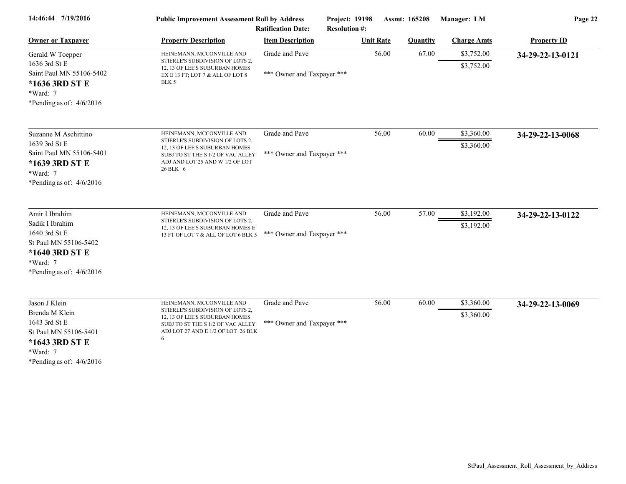| 14:46:44 7/19/2016                                                                                                                        | <b>Public Improvement Assessment Roll by Address</b><br><b>Ratification Date:</b>                                                                                                   |                                              | Project: 19198<br><b>Resolution #:</b> | Assmt: 165208   | Manager: LM              | Page 22            |  |
|-------------------------------------------------------------------------------------------------------------------------------------------|-------------------------------------------------------------------------------------------------------------------------------------------------------------------------------------|----------------------------------------------|----------------------------------------|-----------------|--------------------------|--------------------|--|
| <b>Owner or Taxpayer</b>                                                                                                                  | <b>Property Description</b>                                                                                                                                                         | <b>Item Description</b>                      | <b>Unit Rate</b>                       | <b>Quantity</b> | <b>Charge Amts</b>       | <b>Property ID</b> |  |
| Gerald W Toepper<br>1636 3rd St E<br>Saint Paul MN 55106-5402<br>*1636 3RD ST E<br>*Ward: 7<br>*Pending as of: $4/6/2016$                 | HEINEMANN, MCCONVILLE AND<br>STIERLE'S SUBDIVISION OF LOTS 2,<br>12, 13 OF LEE'S SUBURBAN HOMES<br>EX E 13 FT; LOT 7 & ALL OF LOT 8<br>BLK 5                                        | Grade and Pave<br>*** Owner and Taxpayer *** | 56.00                                  | 67.00           | \$3,752.00<br>\$3,752.00 | 34-29-22-13-0121   |  |
| Suzanne M Aschittino<br>1639 3rd St E<br>Saint Paul MN 55106-5401<br>*1639 3RD ST E<br>*Ward: 7<br>*Pending as of: $4/6/2016$             | HEINEMANN, MCCONVILLE AND<br>STIERLE'S SUBDIVISION OF LOTS 2,<br>12, 13 OF LEE'S SUBURBAN HOMES<br>SUBJ TO ST THE S 1/2 OF VAC ALLEY<br>ADJ AND LOT 25 AND W 1/2 OF LOT<br>26 BLK 6 | Grade and Pave<br>*** Owner and Taxpayer *** | 56.00                                  | 60.00           | \$3,360.00<br>\$3,360.00 | 34-29-22-13-0068   |  |
| Amir I Ibrahim<br>Sadik I Ibrahim<br>1640 3rd St E<br>St Paul MN 55106-5402<br>*1640 3RD ST E<br>$*Ward: 7$<br>*Pending as of: $4/6/2016$ | HEINEMANN, MCCONVILLE AND<br>STIERLE'S SUBDIVISION OF LOTS 2,<br>12, 13 OF LEE'S SUBURBAN HOMES E<br>13 FT OF LOT 7 & ALL OF LOT 6 BLK 5                                            | Grade and Pave<br>*** Owner and Taxpayer *** | 56.00                                  | 57.00           | \$3,192.00<br>\$3,192.00 | 34-29-22-13-0122   |  |
| Jason J Klein<br>Brenda M Klein<br>1643 3rd St E<br>St Paul MN 55106-5401<br>*1643 3RD ST E<br>$*Ward: 7$<br>*Pending as of: $4/6/2016$   | HEINEMANN, MCCONVILLE AND<br>STIERLE'S SUBDIVISION OF LOTS 2,<br>12, 13 OF LEE'S SUBURBAN HOMES<br>SUBJ TO ST THE S 1/2 OF VAC ALLEY<br>ADJ LOT 27 AND E 1/2 OF LOT 26 BLK<br>6     | Grade and Pave<br>*** Owner and Taxpayer *** | 56.00                                  | 60.00           | \$3,360.00<br>\$3,360.00 | 34-29-22-13-0069   |  |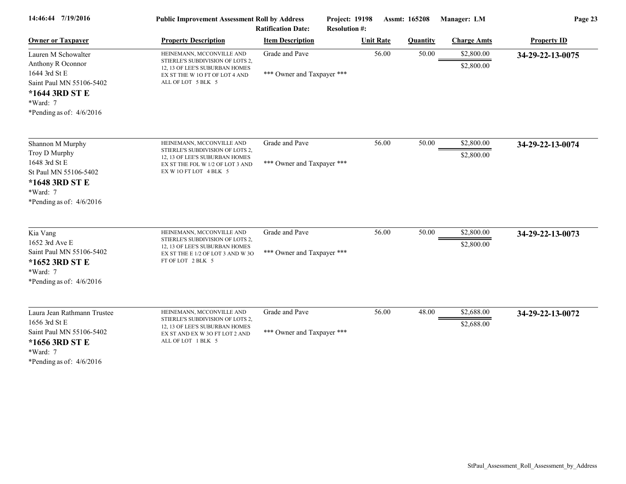| 14:46:44 7/19/2016                                                                                                                                | <b>Public Improvement Assessment Roll by Address</b><br><b>Ratification Date:</b>                                                                             |                                              | Project: 19198<br><b>Resolution #:</b> | Assmt: 165208   | Manager: LM              | Page 23            |  |
|---------------------------------------------------------------------------------------------------------------------------------------------------|---------------------------------------------------------------------------------------------------------------------------------------------------------------|----------------------------------------------|----------------------------------------|-----------------|--------------------------|--------------------|--|
| <b>Owner or Taxpayer</b>                                                                                                                          | <b>Property Description</b>                                                                                                                                   | <b>Item Description</b>                      | <b>Unit Rate</b>                       | <b>Quantity</b> | <b>Charge Amts</b>       | <b>Property ID</b> |  |
| Lauren M Schowalter<br>Anthony R Oconnor<br>1644 3rd St E<br>Saint Paul MN 55106-5402<br>*1644 3RD ST E<br>*Ward: 7<br>*Pending as of: $4/6/2016$ | HEINEMANN, MCCONVILLE AND<br>STIERLE'S SUBDIVISION OF LOTS 2,<br>12, 13 OF LEE'S SUBURBAN HOMES<br>EX ST THE W 10 FT OF LOT 4 AND<br>ALL OF LOT 5 BLK 5       | Grade and Pave<br>*** Owner and Taxpayer *** |                                        | 56.00<br>50.00  | \$2,800.00<br>\$2,800.00 | 34-29-22-13-0075   |  |
| Shannon M Murphy<br>Troy D Murphy<br>1648 3rd St E<br>St Paul MN 55106-5402<br>*1648 3RD ST E<br>*Ward: 7<br>*Pending as of: $4/6/2016$           | HEINEMANN, MCCONVILLE AND<br>STIERLE'S SUBDIVISION OF LOTS 2,<br>12, 13 OF LEE'S SUBURBAN HOMES<br>EX ST THE FOL W 1/2 OF LOT 3 AND<br>EX W 10 FT LOT 4 BLK 5 | Grade and Pave<br>*** Owner and Taxpayer *** |                                        | 56.00<br>50.00  | \$2,800.00<br>\$2,800.00 | 34-29-22-13-0074   |  |
| Kia Vang<br>1652 3rd Ave E<br>Saint Paul MN 55106-5402<br>*1652 3RD ST E<br>*Ward: 7<br>*Pending as of: $4/6/2016$                                | HEINEMANN, MCCONVILLE AND<br>STIERLE'S SUBDIVISION OF LOTS 2,<br>12, 13 OF LEE'S SUBURBAN HOMES<br>EX ST THE E 1/2 OF LOT 3 AND W 3O<br>FT OF LOT 2 BLK 5     | Grade and Pave<br>*** Owner and Taxpayer *** |                                        | 56.00<br>50.00  | \$2,800.00<br>\$2,800.00 | 34-29-22-13-0073   |  |
| Laura Jean Rathmann Trustee<br>1656 3rd St E<br>Saint Paul MN 55106-5402<br>*1656 3RD ST E<br>*Ward: 7<br>*Pending as of: $4/6/2016$              | HEINEMANN, MCCONVILLE AND<br>STIERLE'S SUBDIVISION OF LOTS 2,<br>12, 13 OF LEE'S SUBURBAN HOMES<br>EX ST AND EX W 3O FT LOT 2 AND<br>ALL OF LOT 1 BLK 5       | Grade and Pave<br>*** Owner and Taxpayer *** |                                        | 56.00<br>48.00  | \$2,688.00<br>\$2,688.00 | 34-29-22-13-0072   |  |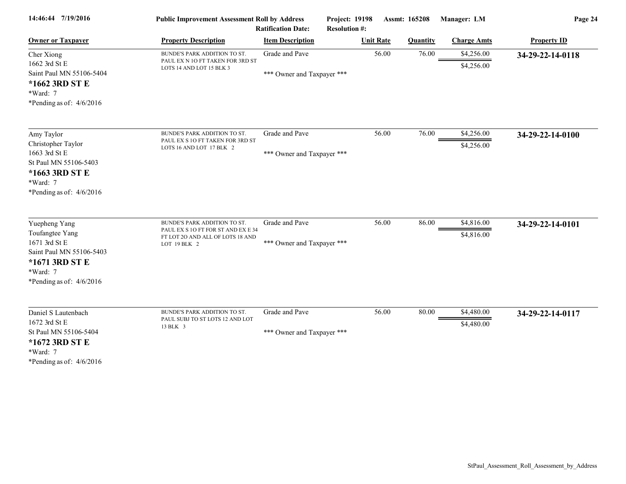| 14:46:44 7/19/2016                                                                                                                        | <b>Public Improvement Assessment Roll by Address</b><br><b>Ratification Date:</b>                                      |                                              | <b>Project: 19198</b><br><b>Resolution #:</b> | Assmt: 165208   | Manager: LM              | Page 24            |  |
|-------------------------------------------------------------------------------------------------------------------------------------------|------------------------------------------------------------------------------------------------------------------------|----------------------------------------------|-----------------------------------------------|-----------------|--------------------------|--------------------|--|
| <b>Owner or Taxpayer</b>                                                                                                                  | <b>Property Description</b>                                                                                            | <b>Item Description</b>                      | <b>Unit Rate</b>                              | <b>Quantity</b> | <b>Charge Amts</b>       | <b>Property ID</b> |  |
| Cher Xiong<br>1662 3rd St E<br>Saint Paul MN 55106-5404<br>*1662 3RD ST E<br>*Ward: 7<br>*Pending as of: $4/6/2016$                       | BUNDE'S PARK ADDITION TO ST.<br>PAUL EX N 10 FT TAKEN FOR 3RD ST<br>LOTS 14 AND LOT 15 BLK 3                           | Grade and Pave<br>*** Owner and Taxpayer *** | 56.00                                         | 76.00           | \$4,256.00<br>\$4,256.00 | 34-29-22-14-0118   |  |
| Amy Taylor<br>Christopher Taylor<br>1663 3rd St E<br>St Paul MN 55106-5403<br>*1663 3RD ST E<br>*Ward: 7<br>*Pending as of: $4/6/2016$    | BUNDE'S PARK ADDITION TO ST.<br>PAUL EX S 10 FT TAKEN FOR 3RD ST<br>LOTS 16 AND LOT 17 BLK 2                           | Grade and Pave<br>*** Owner and Taxpayer *** | 56.00                                         | 76.00           | \$4,256.00<br>\$4,256.00 | 34-29-22-14-0100   |  |
| Yuepheng Yang<br>Toufangtee Yang<br>1671 3rd St E<br>Saint Paul MN 55106-5403<br>*1671 3RD ST E<br>*Ward: 7<br>*Pending as of: $4/6/2016$ | BUNDE'S PARK ADDITION TO ST.<br>PAUL EX S 10 FT FOR ST AND EX E 34<br>FT LOT 20 AND ALL OF LOTS 18 AND<br>LOT 19 BLK 2 | Grade and Pave<br>*** Owner and Taxpayer *** | 56.00                                         | 86.00           | \$4,816.00<br>\$4,816.00 | 34-29-22-14-0101   |  |
| Daniel S Lautenbach<br>1672 3rd St E<br>St Paul MN 55106-5404<br>*1672 3RD ST E<br>*Ward: 7<br>*Pending as of: $4/6/2016$                 | BUNDE'S PARK ADDITION TO ST.<br>PAUL SUBJ TO ST LOTS 12 AND LOT<br>13 BLK 3                                            | Grade and Pave<br>*** Owner and Taxpayer *** | 56.00                                         | 80.00           | \$4,480.00<br>\$4,480.00 | 34-29-22-14-0117   |  |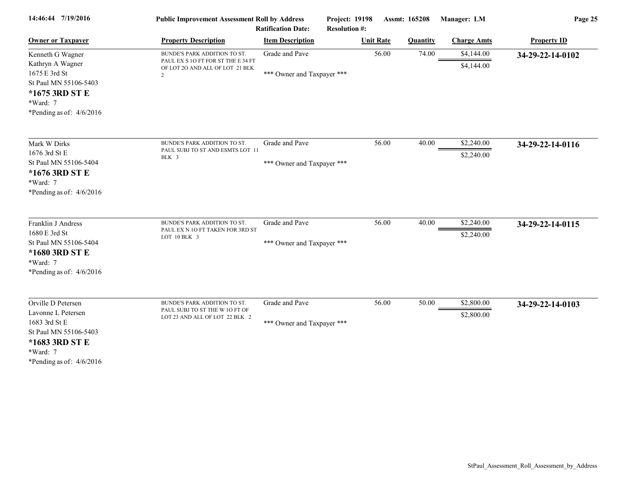| 14:46:44 7/19/2016                                                                                                                             | <b>Public Improvement Assessment Roll by Address</b><br><b>Ratification Date:</b>                                       |                                              | Project: 19198<br><b>Resolution #:</b> |                  | Assmt: 165208   | Manager: LM              | Page 25            |
|------------------------------------------------------------------------------------------------------------------------------------------------|-------------------------------------------------------------------------------------------------------------------------|----------------------------------------------|----------------------------------------|------------------|-----------------|--------------------------|--------------------|
| <b>Owner or Taxpayer</b>                                                                                                                       | <b>Property Description</b>                                                                                             | <b>Item Description</b>                      |                                        | <b>Unit Rate</b> | <b>Quantity</b> | <b>Charge Amts</b>       | <b>Property ID</b> |
| Kenneth G Wagner<br>Kathryn A Wagner<br>1675 E 3rd St<br>St Paul MN 55106-5403<br>*1675 3RD ST E<br>*Ward: 7<br>*Pending as of: $4/6/2016$     | BUNDE'S PARK ADDITION TO ST.<br>PAUL EX S 1O FT FOR ST THE E 34 FT<br>OF LOT 20 AND ALL OF LOT 21 BLK<br>$\overline{c}$ | Grade and Pave<br>*** Owner and Taxpayer *** |                                        | 56.00            | 74.00           | \$4,144.00<br>\$4,144.00 | 34-29-22-14-0102   |
| Mark W Dirks<br>1676 3rd St E<br>St Paul MN 55106-5404<br>*1676 3RD ST E<br>$*Ward: 7$<br>*Pending as of: $4/6/2016$                           | BUNDE'S PARK ADDITION TO ST.<br>PAUL SUBJ TO ST AND ESMTS LOT 11<br>BLK 3                                               | Grade and Pave<br>*** Owner and Taxpayer *** |                                        | 56.00            | 40.00           | \$2,240.00<br>\$2,240.00 | 34-29-22-14-0116   |
| Franklin J Andress<br>1680 E 3rd St<br>St Paul MN 55106-5404<br>*1680 3RD ST E<br>*Ward: 7<br>*Pending as of: $4/6/2016$                       | BUNDE'S PARK ADDITION TO ST.<br>PAUL EX N 10 FT TAKEN FOR 3RD ST<br>LOT 10 BLK 3                                        | Grade and Pave<br>*** Owner and Taxpayer *** |                                        | 56.00            | 40.00           | \$2,240.00<br>\$2,240.00 | 34-29-22-14-0115   |
| Orville D Petersen<br>Lavonne L Petersen<br>1683 3rd St E<br>St Paul MN 55106-5403<br>*1683 3RD ST E<br>*Ward: 7<br>*Pending as of: $4/6/2016$ | BUNDE'S PARK ADDITION TO ST.<br>PAUL SUBJ TO ST THE W 10 FT OF<br>LOT 23 AND ALL OF LOT 22 BLK 2                        | Grade and Pave<br>*** Owner and Taxpayer *** |                                        | 56.00            | 50.00           | \$2,800.00<br>\$2,800.00 | 34-29-22-14-0103   |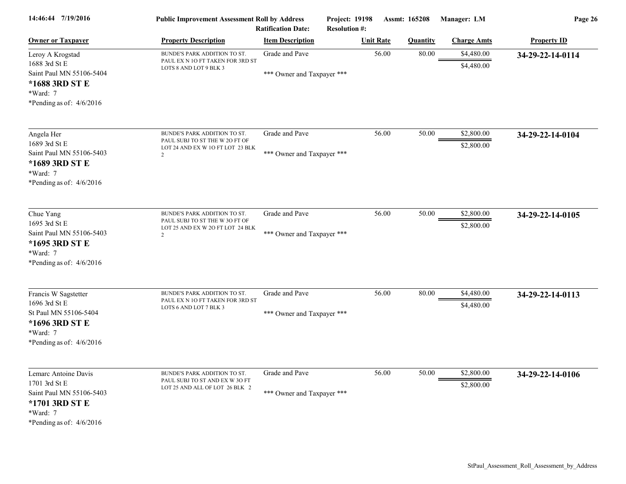| 14:46:44 7/19/2016                                                                                                            | <b>Public Improvement Assessment Roll by Address</b><br><b>Ratification Date:</b>                                    |                                              | Project: 19198<br>Assmt: 165208<br><b>Resolution #:</b> |                 | Manager: LM              | Page 26            |  |
|-------------------------------------------------------------------------------------------------------------------------------|----------------------------------------------------------------------------------------------------------------------|----------------------------------------------|---------------------------------------------------------|-----------------|--------------------------|--------------------|--|
| <b>Owner or Taxpayer</b>                                                                                                      | <b>Property Description</b>                                                                                          | <b>Item Description</b>                      | <b>Unit Rate</b>                                        | <b>Quantity</b> | <b>Charge Amts</b>       | <b>Property ID</b> |  |
| Leroy A Krogstad<br>1688 3rd St E<br>Saint Paul MN 55106-5404<br>*1688 3RD ST E<br>*Ward: 7<br>*Pending as of: $4/6/2016$     | BUNDE'S PARK ADDITION TO ST.<br>PAUL EX N 10 FT TAKEN FOR 3RD ST<br>LOTS 8 AND LOT 9 BLK 3                           | Grade and Pave<br>*** Owner and Taxpayer *** | 56.00                                                   | 80.00           | \$4,480.00<br>\$4,480.00 | 34-29-22-14-0114   |  |
| Angela Her<br>1689 3rd St E<br>Saint Paul MN 55106-5403<br>*1689 3RD ST E<br>*Ward: 7<br>*Pending as of: $4/6/2016$           | BUNDE'S PARK ADDITION TO ST.<br>PAUL SUBJ TO ST THE W 20 FT OF<br>LOT 24 AND EX W 1O FT LOT 23 BLK<br>$\overline{2}$ | Grade and Pave<br>*** Owner and Taxpayer *** | 56.00                                                   | 50.00           | \$2,800.00<br>\$2,800.00 | 34-29-22-14-0104   |  |
| Chue Yang<br>1695 3rd St E<br>Saint Paul MN 55106-5403<br>*1695 3RD ST E<br>*Ward: 7<br>*Pending as of: 4/6/2016              | BUNDE'S PARK ADDITION TO ST.<br>PAUL SUBJ TO ST THE W 3O FT OF<br>LOT 25 AND EX W 2O FT LOT 24 BLK<br>$\overline{2}$ | Grade and Pave<br>*** Owner and Taxpayer *** | 56.00                                                   | 50.00           | \$2,800.00<br>\$2,800.00 | 34-29-22-14-0105   |  |
| Francis W Sagstetter<br>1696 3rd St E<br>St Paul MN 55106-5404<br>*1696 3RD ST E<br>*Ward: 7<br>*Pending as of: $4/6/2016$    | BUNDE'S PARK ADDITION TO ST.<br>PAUL EX N 10 FT TAKEN FOR 3RD ST<br>LOTS 6 AND LOT 7 BLK 3                           | Grade and Pave<br>*** Owner and Taxpayer *** | 56.00                                                   | 80.00           | \$4,480.00<br>\$4,480.00 | 34-29-22-14-0113   |  |
| Lemarc Antoine Davis<br>1701 3rd St E<br>Saint Paul MN 55106-5403<br>*1701 3RD ST E<br>*Ward: 7<br>*Pending as of: $4/6/2016$ | BUNDE'S PARK ADDITION TO ST.<br>PAUL SUBJ TO ST AND EX W 30 FT<br>LOT 25 AND ALL OF LOT 26 BLK 2                     | Grade and Pave<br>*** Owner and Taxpayer *** | 56.00                                                   | 50.00           | \$2,800.00<br>\$2,800.00 | 34-29-22-14-0106   |  |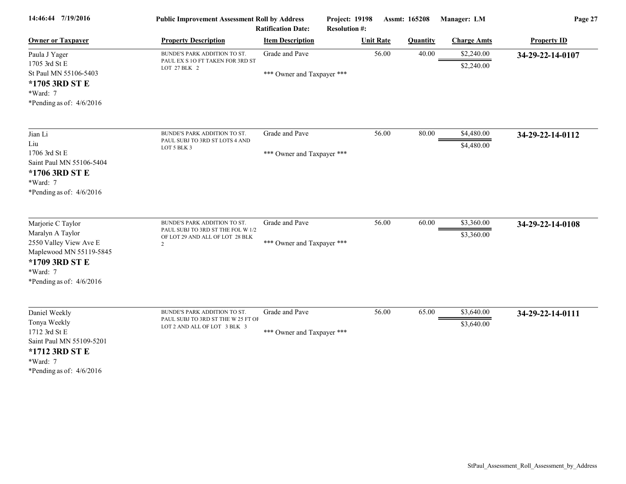| 14:46:44 7/19/2016                                                                                                                                     | <b>Public Improvement Assessment Roll by Address</b><br><b>Ratification Date:</b>                                      |                                              | <b>Project: 19198</b><br><b>Resolution #:</b> | Assmt: 165208   | Manager: LM              | Page 27            |  |
|--------------------------------------------------------------------------------------------------------------------------------------------------------|------------------------------------------------------------------------------------------------------------------------|----------------------------------------------|-----------------------------------------------|-----------------|--------------------------|--------------------|--|
| <b>Owner or Taxpayer</b>                                                                                                                               | <b>Property Description</b>                                                                                            | <b>Item Description</b>                      | <b>Unit Rate</b>                              | <b>Quantity</b> | <b>Charge Amts</b>       | <b>Property ID</b> |  |
| Paula J Yager<br>1705 3rd St E<br>St Paul MN 55106-5403<br>*1705 3RD ST E<br>*Ward: 7<br>*Pending as of: $4/6/2016$                                    | BUNDE'S PARK ADDITION TO ST.<br>PAUL EX S 10 FT TAKEN FOR 3RD ST<br>LOT 27 BLK 2                                       | Grade and Pave<br>*** Owner and Taxpayer *** |                                               | 56.00<br>40.00  | \$2,240.00<br>\$2,240.00 | 34-29-22-14-0107   |  |
| Jian Li<br>Liu<br>1706 3rd St E<br>Saint Paul MN 55106-5404<br>*1706 3RD ST E<br>*Ward: 7<br>*Pending as of: $4/6/2016$                                | BUNDE'S PARK ADDITION TO ST.<br>PAUL SUBJ TO 3RD ST LOTS 4 AND<br>LOT 5 BLK 3                                          | Grade and Pave<br>*** Owner and Taxpayer *** |                                               | 56.00<br>80.00  | \$4,480.00<br>\$4,480.00 | 34-29-22-14-0112   |  |
| Marjorie C Taylor<br>Maralyn A Taylor<br>2550 Valley View Ave E<br>Maplewood MN 55119-5845<br>*1709 3RD ST E<br>*Ward: 7<br>*Pending as of: $4/6/2016$ | BUNDE'S PARK ADDITION TO ST.<br>PAUL SUBJ TO 3RD ST THE FOL W 1/2<br>OF LOT 29 AND ALL OF LOT 28 BLK<br>$\overline{c}$ | Grade and Pave<br>*** Owner and Taxpayer *** |                                               | 56.00<br>60.00  | \$3,360.00<br>\$3,360.00 | 34-29-22-14-0108   |  |
| Daniel Weekly<br>Tonya Weekly<br>1712 3rd St E<br>Saint Paul MN 55109-5201<br>*1712 3RD ST E<br>*Ward: 7<br>*Pending as of: $4/6/2016$                 | BUNDE'S PARK ADDITION TO ST.<br>PAUL SUBJ TO 3RD ST THE W 25 FT OF<br>LOT 2 AND ALL OF LOT 3 BLK 3                     | Grade and Pave<br>*** Owner and Taxpayer *** |                                               | 56.00<br>65.00  | \$3,640.00<br>\$3,640.00 | 34-29-22-14-0111   |  |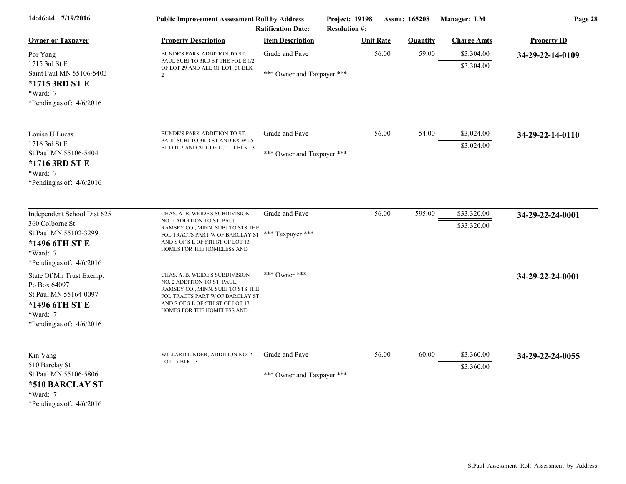| 14:46:44 7/19/2016                                                                                                                  | <b>Public Improvement Assessment Roll by Address</b><br><b>Ratification Date:</b>                                                                                                                        |                                              | <b>Project: 19198</b><br><b>Resolution #:</b> | <b>Assmt: 165208</b> | Manager: LM                | Page 28            |  |
|-------------------------------------------------------------------------------------------------------------------------------------|----------------------------------------------------------------------------------------------------------------------------------------------------------------------------------------------------------|----------------------------------------------|-----------------------------------------------|----------------------|----------------------------|--------------------|--|
| <b>Owner or Taxpayer</b>                                                                                                            | <b>Property Description</b>                                                                                                                                                                              | <b>Item Description</b>                      | <b>Unit Rate</b>                              | <b>Quantity</b>      | <b>Charge Amts</b>         | <b>Property ID</b> |  |
| Por Yang<br>1715 3rd St E<br>Saint Paul MN 55106-5403<br>*1715 3RD ST E<br>*Ward: 7<br>*Pending as of: $4/6/2016$                   | BUNDE'S PARK ADDITION TO ST.<br>PAUL SUBJ TO 3RD ST THE FOL E 1/2<br>OF LOT 29 AND ALL OF LOT 30 BLK<br>2                                                                                                | Grade and Pave<br>*** Owner and Taxpayer *** | 56.00                                         | 59.00                | \$3,304.00<br>\$3,304.00   | 34-29-22-14-0109   |  |
| Louise U Lucas<br>1716 3rd St E<br>St Paul MN 55106-5404<br>*1716 3RD ST E<br>*Ward: 7<br>*Pending as of: $4/6/2016$                | BUNDE'S PARK ADDITION TO ST.<br>PAUL SUBJ TO 3RD ST AND EX W 25<br>FT LOT 2 AND ALL OF LOT 1 BLK 3                                                                                                       | Grade and Pave<br>*** Owner and Taxpayer *** | 56.00                                         | 54.00                | \$3,024.00<br>\$3,024.00   | 34-29-22-14-0110   |  |
| Independent School Dist 625<br>360 Colborne St<br>St Paul MN 55102-3299<br>*1496 6TH ST E<br>*Ward: 7<br>*Pending as of: $4/6/2016$ | CHAS. A. B. WEIDE'S SUBDIVISION<br>NO. 2 ADDITION TO ST. PAUL,<br>RAMSEY CO., MINN. SUBJ TO STS THE<br>FOL TRACTS PART W OF BARCLAY ST<br>AND S OF S L OF 6TH ST OF LOT 13<br>HOMES FOR THE HOMELESS AND | Grade and Pave<br>*** Taxpayer ***           | 56.00                                         | 595.00               | \$33,320.00<br>\$33,320.00 | 34-29-22-24-0001   |  |
| State Of Mn Trust Exempt<br>Po Box 64097<br>St Paul MN 55164-0097<br>*1496 6TH ST E<br>*Ward: 7<br>*Pending as of: $4/6/2016$       | CHAS. A. B. WEIDE'S SUBDIVISION<br>NO. 2 ADDITION TO ST. PAUL,<br>RAMSEY CO., MINN. SUBJ TO STS THE<br>FOL TRACTS PART W OF BARCLAY ST<br>AND S OF S L OF 6TH ST OF LOT 13<br>HOMES FOR THE HOMELESS AND | *** Owner ***                                |                                               |                      |                            | 34-29-22-24-0001   |  |
| Kin Vang<br>510 Barclay St<br>St Paul MN 55106-5806<br>*510 BARCLAY ST<br>*Ward: 7<br>*Pending as of: $4/6/2016$                    | WILLARD LINDER, ADDITION NO. 2<br>LOT 7 BLK 3                                                                                                                                                            | Grade and Pave<br>*** Owner and Taxpayer *** | 56.00                                         | 60.00                | \$3,360.00<br>\$3,360.00   | 34-29-22-24-0055   |  |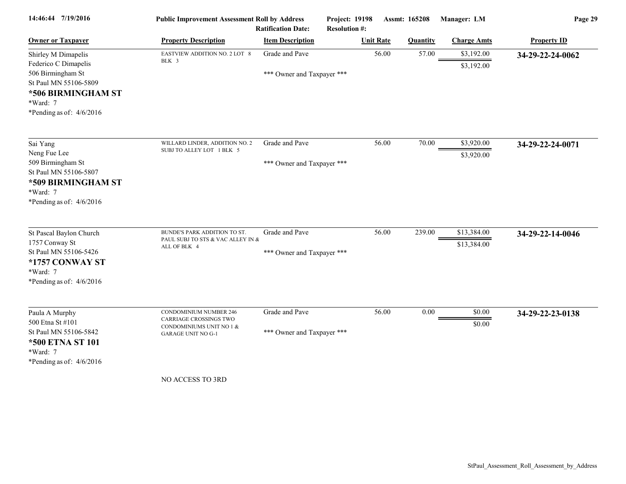| 14:46:44 7/19/2016                                                                                                         | <b>Public Improvement Assessment Roll by Address</b><br><b>Ratification Date:</b>   |                            | Project: 19198<br>Assmt: 165208<br><b>Resolution #:</b> |       | Manager: LM     | Page 29                  |                    |
|----------------------------------------------------------------------------------------------------------------------------|-------------------------------------------------------------------------------------|----------------------------|---------------------------------------------------------|-------|-----------------|--------------------------|--------------------|
| <b>Owner or Taxpayer</b>                                                                                                   | <b>Property Description</b>                                                         | <b>Item Description</b>    | <b>Unit Rate</b>                                        |       | <b>Quantity</b> | <b>Charge Amts</b>       | <b>Property ID</b> |
| Shirley M Dimapelis<br>Federico C Dimapelis                                                                                | EASTVIEW ADDITION NO. 2 LOT 8<br>BLK 3                                              | Grade and Pave             |                                                         | 56.00 | 57.00           | \$3,192.00<br>\$3,192.00 | 34-29-22-24-0062   |
| 506 Birmingham St<br>St Paul MN 55106-5809<br>*506 BIRMINGHAM ST<br>*Ward: 7<br>*Pending as of: $4/6/2016$                 |                                                                                     | *** Owner and Taxpayer *** |                                                         |       |                 |                          |                    |
| Sai Yang                                                                                                                   | WILLARD LINDER, ADDITION NO. 2                                                      | Grade and Pave             |                                                         | 56.00 | 70.00           | \$3,920.00               | 34-29-22-24-0071   |
| Neng Fue Lee<br>509 Birmingham St<br>St Paul MN 55106-5807<br>*509 BIRMINGHAM ST<br>*Ward: 7<br>*Pending as of: $4/6/2016$ | SUBJ TO ALLEY LOT 1 BLK 5                                                           | *** Owner and Taxpayer *** |                                                         |       |                 | \$3,920.00               |                    |
| St Pascal Baylon Church                                                                                                    | BUNDE'S PARK ADDITION TO ST.                                                        | Grade and Pave             |                                                         | 56.00 | 239.00          | \$13,384.00              | 34-29-22-14-0046   |
| 1757 Conway St<br>St Paul MN 55106-5426<br>*1757 CONWAY ST<br>*Ward: 7<br>*Pending as of: $4/6/2016$                       | PAUL SUBJ TO STS & VAC ALLEY IN &<br>ALL OF BLK 4                                   | *** Owner and Taxpayer *** |                                                         |       |                 | \$13,384.00              |                    |
| Paula A Murphy<br>500 Etna St #101                                                                                         | <b>CONDOMINIUM NUMBER 246</b><br>CARRIAGE CROSSINGS TWO<br>CONDOMINIUMS UNIT NO 1 & | Grade and Pave             |                                                         | 56.00 | $0.00\,$        | \$0.00<br>\$0.00         | 34-29-22-23-0138   |
| St Paul MN 55106-5842<br><b>*500 ETNA ST 101</b><br>*Ward: 7<br>*Pending as of: $4/6/2016$                                 | <b>GARAGE UNIT NO G-1</b>                                                           | *** Owner and Taxpayer *** |                                                         |       |                 |                          |                    |
|                                                                                                                            | NO ACCESS TO 3RD                                                                    |                            |                                                         |       |                 |                          |                    |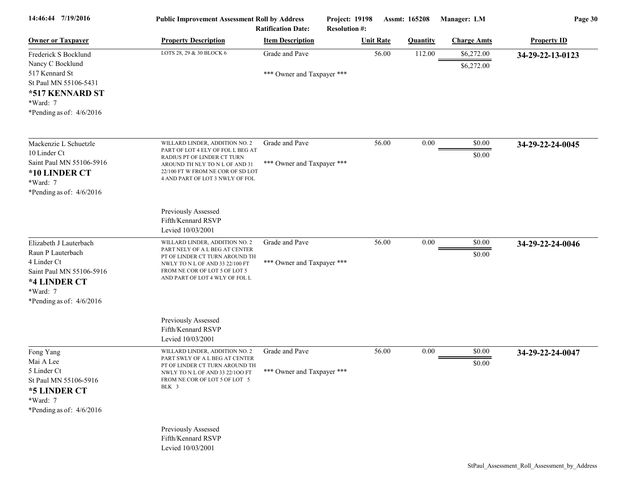| 14:46:44 7/19/2016                                                                                                                               | <b>Public Improvement Assessment Roll by Address</b>                                                                                                                                                         | <b>Ratification Date:</b>                    | <b>Project: 19198</b><br><b>Resolution #:</b> | <b>Assmt: 165208</b> | Manager: LM              | Page 30            |
|--------------------------------------------------------------------------------------------------------------------------------------------------|--------------------------------------------------------------------------------------------------------------------------------------------------------------------------------------------------------------|----------------------------------------------|-----------------------------------------------|----------------------|--------------------------|--------------------|
| <b>Owner or Taxpayer</b>                                                                                                                         | <b>Property Description</b>                                                                                                                                                                                  | <b>Item Description</b>                      | <b>Unit Rate</b>                              | <b>Quantity</b>      | <b>Charge Amts</b>       | <b>Property ID</b> |
| Frederick S Bocklund<br>Nancy C Bocklund<br>517 Kennard St<br>St Paul MN 55106-5431<br>*517 KENNARD ST<br>*Ward: 7<br>*Pending as of: $4/6/2016$ | LOTS 28, 29 & 30 BLOCK 6                                                                                                                                                                                     | Grade and Pave<br>*** Owner and Taxpayer *** | 56.00                                         | 112.00               | \$6,272.00<br>\$6,272.00 | 34-29-22-13-0123   |
| Mackenzie L Schuetzle<br>10 Linder Ct<br>Saint Paul MN 55106-5916<br>*10 LINDER CT<br>*Ward: 7<br>*Pending as of: $4/6/2016$                     | WILLARD LINDER, ADDITION NO. 2<br>PART OF LOT 4 ELY OF FOL L BEG AT<br>RADIUS PT OF LINDER CT TURN<br>AROUND TH NLY TO N L OF AND 31<br>22/100 FT W FROM NE COR OF SD LOT<br>4 AND PART OF LOT 3 NWLY OF FOL | Grade and Pave<br>*** Owner and Taxpayer *** | 56.00                                         | 0.00                 | \$0.00<br>\$0.00         | 34-29-22-24-0045   |
|                                                                                                                                                  | Previously Assessed<br>Fifth/Kennard RSVP<br>Levied 10/03/2001                                                                                                                                               |                                              |                                               |                      |                          |                    |
| Elizabeth J Lauterbach<br>Raun P Lauterbach<br>4 Linder Ct<br>Saint Paul MN 55106-5916<br>*4 LINDER CT<br>*Ward: 7<br>*Pending as of: 4/6/2016   | WILLARD LINDER, ADDITION NO. 2<br>PART NELY OF A L BEG AT CENTER<br>PT OF LINDER CT TURN AROUND TH<br>NWLY TO N L OF AND 33 22/100 FT<br>FROM NE COR OF LOT 5 OF LOT 5<br>AND PART OF LOT 4 WLY OF FOL L     | Grade and Pave<br>*** Owner and Taxpayer *** | 56.00                                         | 0.00                 | \$0.00<br>\$0.00         | 34-29-22-24-0046   |
|                                                                                                                                                  | Previously Assessed<br>Fifth/Kennard RSVP<br>Levied 10/03/2001                                                                                                                                               |                                              |                                               |                      |                          |                    |
| Fong Yang<br>Mai A Lee<br>5 Linder Ct<br>St Paul MN 55106-5916<br>*5 LINDER CT<br>*Ward: 7<br>*Pending as of: $4/6/2016$                         | WILLARD LINDER, ADDITION NO. 2<br>PART SWLY OF A L BEG AT CENTER<br>PT OF LINDER CT TURN AROUND TH<br>NWLY TO N L OF AND 33 22/100 FT<br>FROM NE COR OF LOT 5 OF LOT 5<br>BLK 3                              | Grade and Pave<br>*** Owner and Taxpayer *** | 56.00                                         | 0.00                 | \$0.00<br>\$0.00         | 34-29-22-24-0047   |
|                                                                                                                                                  | Previously Assessed<br>Fifth/Kennard RSVP<br>Levied 10/03/2001                                                                                                                                               |                                              |                                               |                      |                          |                    |